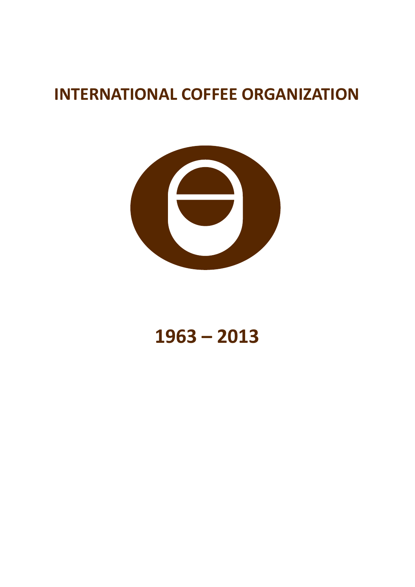## **INTERNATIONAL COFFEE ORGANIZATION**



# **1963 – 2013**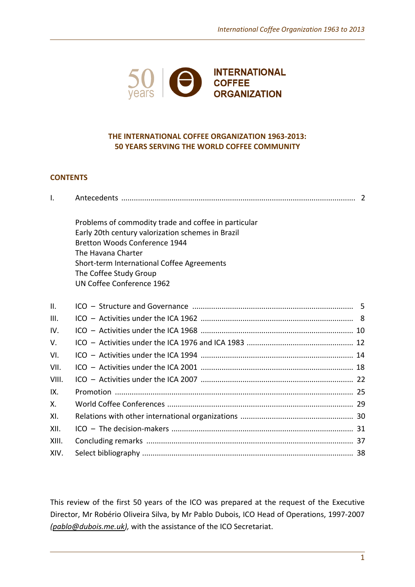

## **THE INTERNATIONAL COFFEE ORGANIZATION 1963-2013: 50 YEARS SERVING THE WORLD COFFEE COMMUNITY**

## **CONTENTS**

| $\mathsf{I}$ .  |                                                                                                                                                                                                                                                                       |  |  |
|-----------------|-----------------------------------------------------------------------------------------------------------------------------------------------------------------------------------------------------------------------------------------------------------------------|--|--|
|                 | Problems of commodity trade and coffee in particular<br>Early 20th century valorization schemes in Brazil<br>Bretton Woods Conference 1944<br>The Havana Charter<br>Short-term International Coffee Agreements<br>The Coffee Study Group<br>UN Coffee Conference 1962 |  |  |
| $\mathbf{II}$ . |                                                                                                                                                                                                                                                                       |  |  |
| III.            |                                                                                                                                                                                                                                                                       |  |  |
| IV.             |                                                                                                                                                                                                                                                                       |  |  |
| V.              |                                                                                                                                                                                                                                                                       |  |  |
| VI.             |                                                                                                                                                                                                                                                                       |  |  |
| VII.            |                                                                                                                                                                                                                                                                       |  |  |
| VIII.           |                                                                                                                                                                                                                                                                       |  |  |
| IX.             |                                                                                                                                                                                                                                                                       |  |  |
| Χ.              |                                                                                                                                                                                                                                                                       |  |  |
| XI.             |                                                                                                                                                                                                                                                                       |  |  |
| XII.            |                                                                                                                                                                                                                                                                       |  |  |
| XIII.           |                                                                                                                                                                                                                                                                       |  |  |
| XIV.            |                                                                                                                                                                                                                                                                       |  |  |

This review of the first 50 years of the ICO was prepared at the request of the Executive Director, Mr Robério Oliveira Silva, by Mr Pablo Dubois, ICO Head of Operations, 1997-2007 *[\(pablo@dubois.me.uk\)](mailto:pablo@dubois.me.uk),* with the assistance of the ICO Secretariat.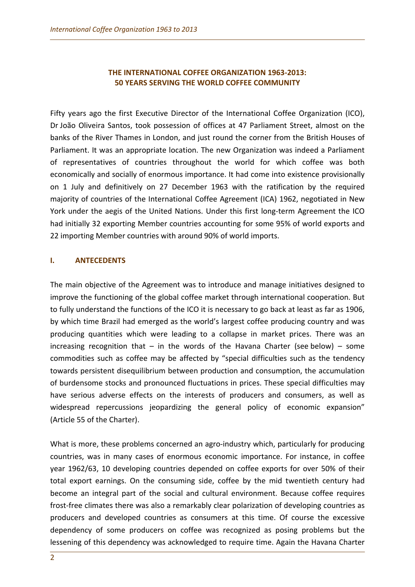## **THE INTERNATIONAL COFFEE ORGANIZATION 1963-2013: 50 YEARS SERVING THE WORLD COFFEE COMMUNITY**

Fifty years ago the first Executive Director of the International Coffee Organization (ICO), Dr João Oliveira Santos, took possession of offices at 47 Parliament Street, almost on the banks of the River Thames in London, and just round the corner from the British Houses of Parliament. It was an appropriate location. The new Organization was indeed a Parliament of representatives of countries throughout the world for which coffee was both economically and socially of enormous importance. It had come into existence provisionally on 1 July and definitively on 27 December 1963 with the ratification by the required majority of countries of the International Coffee Agreement (ICA) 1962, negotiated in New York under the aegis of the United Nations. Under this first long-term Agreement the ICO had initially 32 exporting Member countries accounting for some 95% of world exports and 22 importing Member countries with around 90% of world imports.

## **I. ANTECEDENTS**

The main objective of the Agreement was to introduce and manage initiatives designed to improve the functioning of the global coffee market through international cooperation. But to fully understand the functions of the ICO it is necessary to go back at least as far as 1906, by which time Brazil had emerged as the world's largest coffee producing country and was producing quantities which were leading to a collapse in market prices. There was an increasing recognition that  $-$  in the words of the Havana Charter (see below)  $-$  some commodities such as coffee may be affected by "special difficulties such as the tendency towards persistent disequilibrium between production and consumption, the accumulation of burdensome stocks and pronounced fluctuations in prices. These special difficulties may have serious adverse effects on the interests of producers and consumers, as well as widespread repercussions jeopardizing the general policy of economic expansion" (Article 55 of the Charter).

What is more, these problems concerned an agro-industry which, particularly for producing countries, was in many cases of enormous economic importance. For instance, in coffee year 1962/63, 10 developing countries depended on coffee exports for over 50% of their total export earnings. On the consuming side, coffee by the mid twentieth century had become an integral part of the social and cultural environment. Because coffee requires frost-free climates there was also a remarkably clear polarization of developing countries as producers and developed countries as consumers at this time. Of course the excessive dependency of some producers on coffee was recognized as posing problems but the lessening of this dependency was acknowledged to require time. Again the Havana Charter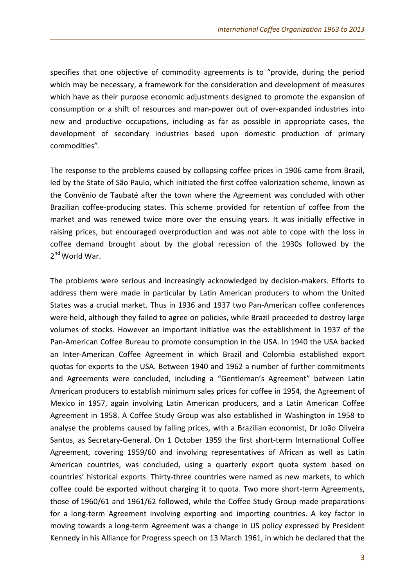specifies that one objective of commodity agreements is to "provide, during the period which may be necessary, a framework for the consideration and development of measures which have as their purpose economic adjustments designed to promote the expansion of consumption or a shift of resources and man-power out of over-expanded industries into new and productive occupations, including as far as possible in appropriate cases, the development of secondary industries based upon domestic production of primary commodities".

The response to the problems caused by collapsing coffee prices in 1906 came from Brazil, led by the State of São Paulo, which initiated the first coffee valorization scheme, known as the Convênio de Taubaté after the town where the Agreement was concluded with other Brazilian coffee-producing states. This scheme provided for retention of coffee from the market and was renewed twice more over the ensuing years. It was initially effective in raising prices, but encouraged overproduction and was not able to cope with the loss in coffee demand brought about by the global recession of the 1930s followed by the 2<sup>nd</sup> World War.

The problems were serious and increasingly acknowledged by decision-makers. Efforts to address them were made in particular by Latin American producers to whom the United States was a crucial market. Thus in 1936 and 1937 two Pan-American coffee conferences were held, although they failed to agree on policies, while Brazil proceeded to destroy large volumes of stocks. However an important initiative was the establishment in 1937 of the Pan-American Coffee Bureau to promote consumption in the USA. In 1940 the USA backed an Inter-American Coffee Agreement in which Brazil and Colombia established export quotas for exports to the USA. Between 1940 and 1962 a number of further commitments and Agreements were concluded, including a "Gentleman's Agreement" between Latin American producers to establish minimum sales prices for coffee in 1954, the Agreement of Mexico in 1957, again involving Latin American producers, and a Latin American Coffee Agreement in 1958. A Coffee Study Group was also established in Washington in 1958 to analyse the problems caused by falling prices, with a Brazilian economist, Dr João Oliveira Santos, as Secretary-General. On 1 October 1959 the first short-term International Coffee Agreement, covering 1959/60 and involving representatives of African as well as Latin American countries, was concluded, using a quarterly export quota system based on countries' historical exports. Thirty-three countries were named as new markets, to which coffee could be exported without charging it to quota. Two more short-term Agreements, those of 1960/61 and 1961/62 followed, while the Coffee Study Group made preparations for a long-term Agreement involving exporting and importing countries. A key factor in moving towards a long-term Agreement was a change in US policy expressed by President Kennedy in his Alliance for Progress speech on 13 March 1961, in which he declared that the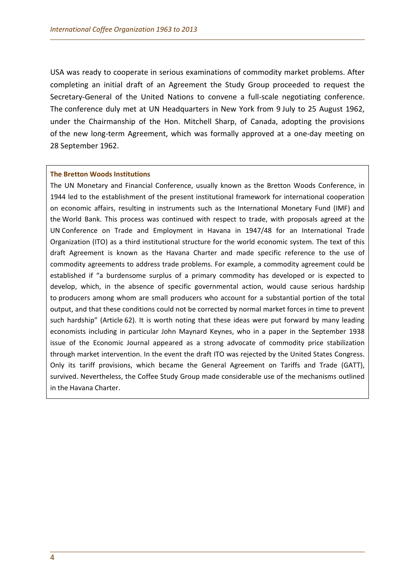USA was ready to cooperate in serious examinations of commodity market problems. After completing an initial draft of an Agreement the Study Group proceeded to request the Secretary-General of the United Nations to convene a full-scale negotiating conference. The conference duly met at UN Headquarters in New York from 9 July to 25 August 1962, under the Chairmanship of the Hon. Mitchell Sharp, of Canada, adopting the provisions of the new long-term Agreement, which was formally approved at a one-day meeting on 28 September 1962.

#### **The Bretton Woods Institutions**

The UN Monetary and Financial Conference, usually known as the Bretton Woods Conference, in 1944 led to the establishment of the present institutional framework for international cooperation on economic affairs, resulting in instruments such as the International Monetary Fund (IMF) and the World Bank. This process was continued with respect to trade, with proposals agreed at the UN Conference on Trade and Employment in Havana in 1947/48 for an International Trade Organization (ITO) as a third institutional structure for the world economic system. The text of this draft Agreement is known as the Havana Charter and made specific reference to the use of commodity agreements to address trade problems. For example, a commodity agreement could be established if "a burdensome surplus of a primary commodity has developed or is expected to develop, which, in the absence of specific governmental action, would cause serious hardship to producers among whom are small producers who account for a substantial portion of the total output, and that these conditions could not be corrected by normal market forces in time to prevent such hardship" (Article 62). It is worth noting that these ideas were put forward by many leading economists including in particular John Maynard Keynes, who in a paper in the September 1938 issue of the Economic Journal appeared as a strong advocate of commodity price stabilization through market intervention. In the event the draft ITO was rejected by the United States Congress. Only its tariff provisions, which became the General Agreement on Tariffs and Trade (GATT), survived. Nevertheless, the Coffee Study Group made considerable use of the mechanisms outlined in the Havana Charter.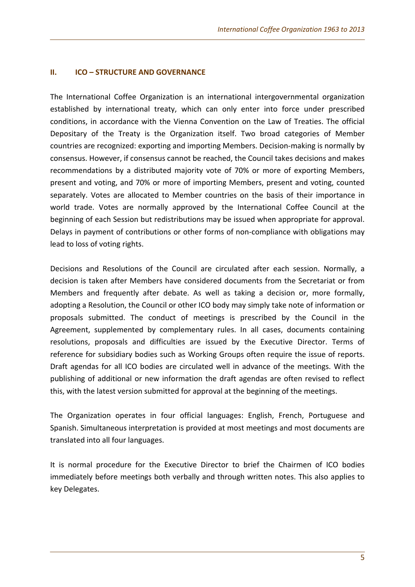## **II. ICO – STRUCTURE AND GOVERNANCE**

The International Coffee Organization is an international intergovernmental organization established by international treaty, which can only enter into force under prescribed conditions, in accordance with the Vienna Convention on the Law of Treaties. The official Depositary of the Treaty is the Organization itself. Two broad categories of Member countries are recognized: exporting and importing Members. Decision-making is normally by consensus. However, if consensus cannot be reached, the Council takes decisions and makes recommendations by a distributed majority vote of 70% or more of exporting Members, present and voting, and 70% or more of importing Members, present and voting, counted separately. Votes are allocated to Member countries on the basis of their importance in world trade. Votes are normally approved by the International Coffee Council at the beginning of each Session but redistributions may be issued when appropriate for approval. Delays in payment of contributions or other forms of non-compliance with obligations may lead to loss of voting rights.

Decisions and Resolutions of the Council are circulated after each session. Normally, a decision is taken after Members have considered documents from the Secretariat or from Members and frequently after debate. As well as taking a decision or, more formally, adopting a Resolution, the Council or other ICO body may simply take note of information or proposals submitted. The conduct of meetings is prescribed by the Council in the Agreement, supplemented by complementary rules. In all cases, documents containing resolutions, proposals and difficulties are issued by the Executive Director. Terms of reference for subsidiary bodies such as Working Groups often require the issue of reports. Draft agendas for all ICO bodies are circulated well in advance of the meetings. With the publishing of additional or new information the draft agendas are often revised to reflect this, with the latest version submitted for approval at the beginning of the meetings.

The Organization operates in four official languages: English, French, Portuguese and Spanish. Simultaneous interpretation is provided at most meetings and most documents are translated into all four languages.

It is normal procedure for the Executive Director to brief the Chairmen of ICO bodies immediately before meetings both verbally and through written notes. This also applies to key Delegates.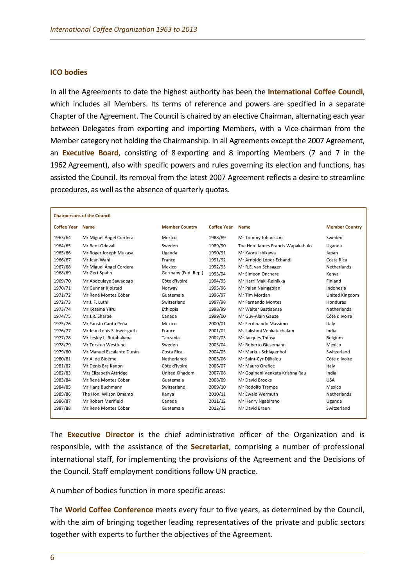#### **ICO bodies**

In all the Agreements to date the highest authority has been the **International Coffee Council**, which includes all Members. Its terms of reference and powers are specified in a separate Chapter of the Agreement. The Council is chaired by an elective Chairman, alternating each year between Delegates from exporting and importing Members, with a Vice-chairman from the Member category not holding the Chairmanship. In all Agreements except the 2007 Agreement, an **Executive Board**, consisting of 8 exporting and 8 importing Members (7 and 7 in the 1962 Agreement), also with specific powers and rules governing its election and functions, has assisted the Council. Its removal from the latest 2007 Agreement reflects a desire to streamline procedures, as well as the absence of quarterly quotas.

| <b>Chairpersons of the Council</b> |                           |                       |                    |                                   |                       |  |  |  |
|------------------------------------|---------------------------|-----------------------|--------------------|-----------------------------------|-----------------------|--|--|--|
| <b>Coffee Year</b>                 | <b>Name</b>               | <b>Member Country</b> | <b>Coffee Year</b> | <b>Name</b>                       | <b>Member Country</b> |  |  |  |
| 1963/64                            | Mr Miguel Ángel Cordera   | Mexico                | 1988/89            | Mr Tommy Johansson                | Sweden                |  |  |  |
| 1964/65                            | Mr Bent Odevall           | Sweden                | 1989/90            | The Hon. James Francis Wapakabulo | Uganda                |  |  |  |
| 1965/66                            | Mr Roger Joseph Mukasa    | Uganda                | 1990/91            | Mr Kaoru Ishikawa                 | Japan                 |  |  |  |
| 1966/67                            | Mr Jean Wahl              | France                | 1991/92            | Mr Arnoldo López Echandi          | Costa Rica            |  |  |  |
| 1967/68                            | Mr Miguel Ángel Cordera   | Mexico                | 1992/93            | Mr R.E. van Schaagen              | <b>Netherlands</b>    |  |  |  |
| 1968/69                            | Mr Gert Spahn             | Germany (Fed. Rep.)   | 1993/94            | Mr Simeon Onchere                 | Kenya                 |  |  |  |
| 1969/70                            | Mr Abdoulaye Sawadogo     | Côte d'Ivoire         | 1994/95            | Mr Harri Maki-Reinikka            | Finland               |  |  |  |
| 1970/71                            | Mr Gunnar Kjølstad        | Norway                | 1995/96            | Mr Paian Nainggolan               | Indonesia             |  |  |  |
| 1971/72                            | Mr René Montes Cóbar      | Guatemala             | 1996/97            | Mr Tim Mordan                     | United Kingdom        |  |  |  |
| 1972/73                            | Mr J. F. Luthi            | Switzerland           | 1997/98            | Mr Fernando Montes                | Honduras              |  |  |  |
| 1973/74                            | Mr Ketema Yifru           | Ethiopia              | 1998/99            | Mr Walter Bastiaanse              | <b>Netherlands</b>    |  |  |  |
| 1974/75                            | Mr J.R. Sharpe            | Canada                | 1999/00            | Mr Guy-Alain Gauze                | Côte d'Ivoire         |  |  |  |
| 1975/76                            | Mr Fausto Cantú Peña      | Mexico                | 2000/01            | Mr Ferdinando Massimo             | Italy                 |  |  |  |
| 1976/77                            | Mr Jean Louis Schweisguth | France                | 2001/02            | Ms Lakshmi Venkatachalam          | India                 |  |  |  |
| 1977/78                            | Mr Lesley L. Rutahakana   | Tanzania              | 2002/03            | Mr Jacques Thinsy                 | Belgium               |  |  |  |
| 1978/79                            | Mr Torsten Westlund       | Sweden                | 2003/04            | Mr Roberto Giesemann              | Mexico                |  |  |  |
| 1979/80                            | Mr Manuel Escalante Durán | Costa Rica            | 2004/05            | Mr Markus Schlagenhof             | Switzerland           |  |  |  |
| 1980/81                            | Mr A. de Bloeme           | <b>Netherlands</b>    | 2005/06            | Mr Saint-Cyr Djikalou             | Côte d'Ivoire         |  |  |  |
| 1981/82                            | Mr Denis Bra Kanon        | Côte d'Ivoire         | 2006/07            | Mr Mauro Orefice                  | Italy                 |  |  |  |
| 1982/83                            | Mrs Elizabeth Attridge    | United Kingdom        | 2007/08            | Mr Gogineni Venkata Krishna Rau   | India                 |  |  |  |
| 1983/84                            | Mr René Montes Cóbar      | Guatemala             | 2008/09            | <b>Mr David Brooks</b>            | <b>USA</b>            |  |  |  |
| 1984/85                            | Mr Hans Buchmann          | Switzerland           | 2009/10            | Mr Rodolfo Trampe                 | Mexico                |  |  |  |
| 1985/86                            | The Hon. Wilson Omamo     | Kenya                 | 2010/11            | Mr Ewald Wermuth                  | Netherlands           |  |  |  |
| 1986/87                            | Mr Robert Merifield       | Canada                | 2011/12            | Mr Henry Ngabirano                | Uganda                |  |  |  |
| 1987/88                            | Mr René Montes Cóbar      | Guatemala             | 2012/13            | Mr David Braun                    | Switzerland           |  |  |  |

The **Executive Director** is the chief administrative officer of the Organization and is responsible, with the assistance of the **Secretariat**, comprising a number of professional international staff, for implementing the provisions of the Agreement and the Decisions of the Council. Staff employment conditions follow UN practice.

A number of bodies function in more specific areas:

The **World Coffee Conference** meets every four to five years, as determined by the Council, with the aim of bringing together leading representatives of the private and public sectors together with experts to further the objectives of the Agreement.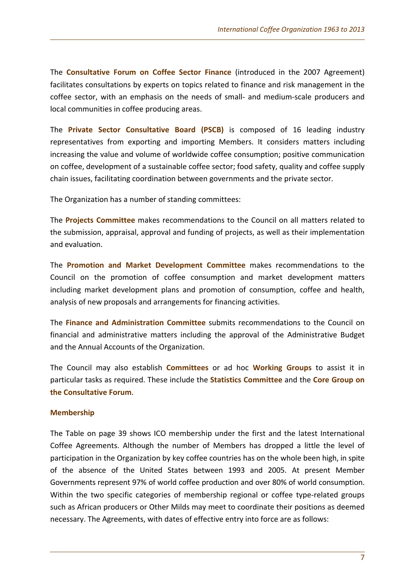The **Consultative Forum on Coffee Sector Finance** (introduced in the 2007 Agreement) facilitates consultations by experts on topics related to finance and risk management in the coffee sector, with an emphasis on the needs of small- and medium-scale producers and local communities in coffee producing areas.

The **Private Sector Consultative Board (PSCB)** is composed of 16 leading industry representatives from exporting and importing Members. It considers matters including increasing the value and volume of worldwide coffee consumption; positive communication on coffee, development of a sustainable coffee sector; food safety, quality and coffee supply chain issues, facilitating coordination between governments and the private sector.

The Organization has a number of standing committees:

The **Projects Committee** makes recommendations to the Council on all matters related to the submission, appraisal, approval and funding of projects, as well as their implementation and evaluation.

The **Promotion and Market Development Committee** makes recommendations to the Council on the promotion of coffee consumption and market development matters including market development plans and promotion of consumption, coffee and health, analysis of new proposals and arrangements for financing activities.

The **Finance and Administration Committee** submits recommendations to the Council on financial and administrative matters including the approval of the Administrative Budget and the Annual Accounts of the Organization.

The Council may also establish **Committees** or ad hoc **Working Groups** to assist it in particular tasks as required. These include the **Statistics Committee** and the **Core Group on the Consultative Forum**.

## **Membership**

The Table on page 39 shows ICO membership under the first and the latest International Coffee Agreements. Although the number of Members has dropped a little the level of participation in the Organization by key coffee countries has on the whole been high, in spite of the absence of the United States between 1993 and 2005. At present Member Governments represent 97% of world coffee production and over 80% of world consumption. Within the two specific categories of membership regional or coffee type-related groups such as African producers or Other Milds may meet to coordinate their positions as deemed necessary. The Agreements, with dates of effective entry into force are as follows: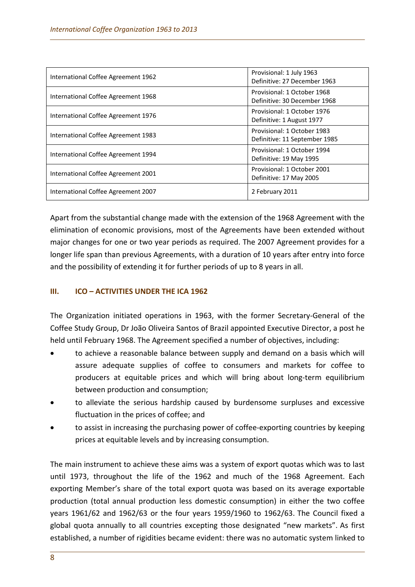| International Coffee Agreement 1962 | Provisional: 1 July 1963<br>Definitive: 27 December 1963     |  |
|-------------------------------------|--------------------------------------------------------------|--|
| International Coffee Agreement 1968 | Provisional: 1 October 1968<br>Definitive: 30 December 1968  |  |
| International Coffee Agreement 1976 | Provisional: 1 October 1976<br>Definitive: 1 August 1977     |  |
| International Coffee Agreement 1983 | Provisional: 1 October 1983<br>Definitive: 11 September 1985 |  |
| International Coffee Agreement 1994 | Provisional: 1 October 1994<br>Definitive: 19 May 1995       |  |
| International Coffee Agreement 2001 | Provisional: 1 October 2001<br>Definitive: 17 May 2005       |  |
| International Coffee Agreement 2007 | 2 February 2011                                              |  |

Apart from the substantial change made with the extension of the 1968 Agreement with the elimination of economic provisions, most of the Agreements have been extended without major changes for one or two year periods as required. The 2007 Agreement provides for a longer life span than previous Agreements, with a duration of 10 years after entry into force and the possibility of extending it for further periods of up to 8 years in all.

## **III. ICO – ACTIVITIES UNDER THE ICA 1962**

The Organization initiated operations in 1963, with the former Secretary-General of the Coffee Study Group, Dr João Oliveira Santos of Brazil appointed Executive Director, a post he held until February 1968. The Agreement specified a number of objectives, including:

- to achieve a reasonable balance between supply and demand on a basis which will assure adequate supplies of coffee to consumers and markets for coffee to producers at equitable prices and which will bring about long-term equilibrium between production and consumption;
- to alleviate the serious hardship caused by burdensome surpluses and excessive fluctuation in the prices of coffee; and
- to assist in increasing the purchasing power of coffee-exporting countries by keeping prices at equitable levels and by increasing consumption.

The main instrument to achieve these aims was a system of export quotas which was to last until 1973, throughout the life of the 1962 and much of the 1968 Agreement. Each exporting Member's share of the total export quota was based on its average exportable production (total annual production less domestic consumption) in either the two coffee years 1961/62 and 1962/63 or the four years 1959/1960 to 1962/63. The Council fixed a global quota annually to all countries excepting those designated "new markets". As first established, a number of rigidities became evident: there was no automatic system linked to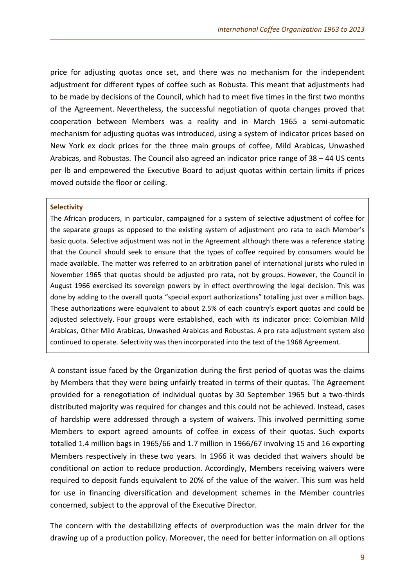price for adjusting quotas once set, and there was no mechanism for the independent adjustment for different types of coffee such as Robusta. This meant that adjustments had to be made by decisions of the Council, which had to meet five times in the first two months of the Agreement. Nevertheless, the successful negotiation of quota changes proved that cooperation between Members was a reality and in March 1965 a semi-automatic mechanism for adjusting quotas was introduced, using a system of indicator prices based on New York ex dock prices for the three main groups of coffee, Mild Arabicas, Unwashed Arabicas, and Robustas. The Council also agreed an indicator price range of 38 – 44 US cents per lb and empowered the Executive Board to adjust quotas within certain limits if prices moved outside the floor or ceiling.

#### **Selectivity**

The African producers, in particular, campaigned for a system of selective adjustment of coffee for the separate groups as opposed to the existing system of adjustment pro rata to each Member's basic quota. Selective adjustment was not in the Agreement although there was a reference stating that the Council should seek to ensure that the types of coffee required by consumers would be made available. The matter was referred to an arbitration panel of international jurists who ruled in November 1965 that quotas should be adjusted pro rata, not by groups. However, the Council in August 1966 exercised its sovereign powers by in effect overthrowing the legal decision. This was done by adding to the overall quota "special export authorizations" totalling just over a million bags. These authorizations were equivalent to about 2.5% of each country's export quotas and could be adjusted selectively. Four groups were established, each with its indicator price: Colombian Mild Arabicas, Other Mild Arabicas, Unwashed Arabicas and Robustas. A pro rata adjustment system also continued to operate. Selectivity was then incorporated into the text of the 1968 Agreement.

A constant issue faced by the Organization during the first period of quotas was the claims by Members that they were being unfairly treated in terms of their quotas. The Agreement provided for a renegotiation of individual quotas by 30 September 1965 but a two-thirds distributed majority was required for changes and this could not be achieved. Instead, cases of hardship were addressed through a system of waivers. This involved permitting some Members to export agreed amounts of coffee in excess of their quotas. Such exports totalled 1.4 million bags in 1965/66 and 1.7 million in 1966/67 involving 15 and 16 exporting Members respectively in these two years. In 1966 it was decided that waivers should be conditional on action to reduce production. Accordingly, Members receiving waivers were required to deposit funds equivalent to 20% of the value of the waiver. This sum was held for use in financing diversification and development schemes in the Member countries concerned, subject to the approval of the Executive Director.

The concern with the destabilizing effects of overproduction was the main driver for the drawing up of a production policy. Moreover, the need for better information on all options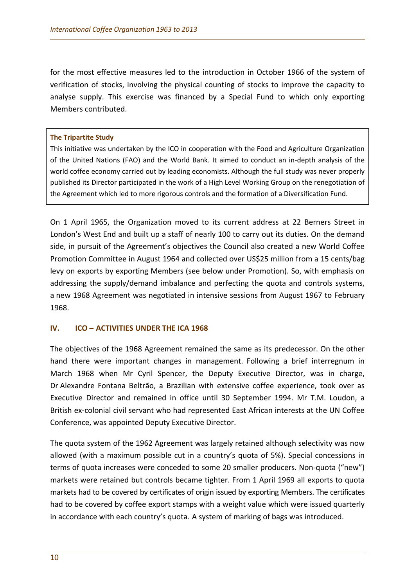for the most effective measures led to the introduction in October 1966 of the system of verification of stocks, involving the physical counting of stocks to improve the capacity to analyse supply. This exercise was financed by a Special Fund to which only exporting Members contributed.

## **The Tripartite Study**

This initiative was undertaken by the ICO in cooperation with the Food and Agriculture Organization of the United Nations (FAO) and the World Bank. It aimed to conduct an in-depth analysis of the world coffee economy carried out by leading economists. Although the full study was never properly published its Director participated in the work of a High Level Working Group on the renegotiation of the Agreement which led to more rigorous controls and the formation of a Diversification Fund.

On 1 April 1965, the Organization moved to its current address at 22 Berners Street in London's West End and built up a staff of nearly 100 to carry out its duties. On the demand side, in pursuit of the Agreement's objectives the Council also created a new World Coffee Promotion Committee in August 1964 and collected over US\$25 million from a 15 cents/bag levy on exports by exporting Members (see below under Promotion). So, with emphasis on addressing the supply/demand imbalance and perfecting the quota and controls systems, a new 1968 Agreement was negotiated in intensive sessions from August 1967 to February 1968.

## **IV. ICO – ACTIVITIES UNDER THE ICA 1968**

The objectives of the 1968 Agreement remained the same as its predecessor. On the other hand there were important changes in management. Following a brief interregnum in March 1968 when Mr Cyril Spencer, the Deputy Executive Director, was in charge, Dr Alexandre Fontana Beltrão, a Brazilian with extensive coffee experience, took over as Executive Director and remained in office until 30 September 1994. Mr T.M. Loudon, a British ex-colonial civil servant who had represented East African interests at the UN Coffee Conference, was appointed Deputy Executive Director.

The quota system of the 1962 Agreement was largely retained although selectivity was now allowed (with a maximum possible cut in a country's quota of 5%). Special concessions in terms of quota increases were conceded to some 20 smaller producers. Non-quota ("new") markets were retained but controls became tighter. From 1 April 1969 all exports to quota markets had to be covered by certificates of origin issued by exporting Members. The certificates had to be covered by coffee export stamps with a weight value which were issued quarterly in accordance with each country's quota. A system of marking of bags was introduced.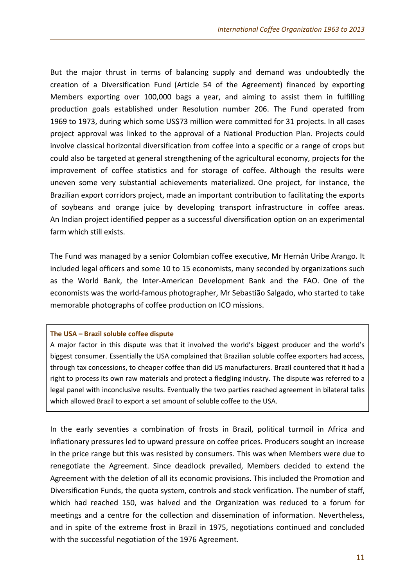But the major thrust in terms of balancing supply and demand was undoubtedly the creation of a Diversification Fund (Article 54 of the Agreement) financed by exporting Members exporting over 100,000 bags a year, and aiming to assist them in fulfilling production goals established under Resolution number 206. The Fund operated from 1969 to 1973, during which some US\$73 million were committed for 31 projects. In all cases project approval was linked to the approval of a National Production Plan. Projects could involve classical horizontal diversification from coffee into a specific or a range of crops but could also be targeted at general strengthening of the agricultural economy, projects for the improvement of coffee statistics and for storage of coffee. Although the results were uneven some very substantial achievements materialized. One project, for instance, the Brazilian export corridors project, made an important contribution to facilitating the exports of soybeans and orange juice by developing transport infrastructure in coffee areas. An Indian project identified pepper as a successful diversification option on an experimental farm which still exists.

The Fund was managed by a senior Colombian coffee executive, Mr Hernán Uribe Arango. It included legal officers and some 10 to 15 economists, many seconded by organizations such as the World Bank, the Inter-American Development Bank and the FAO. One of the economists was the world-famous photographer, Mr Sebastião Salgado, who started to take memorable photographs of coffee production on ICO missions.

#### **The USA – Brazil soluble coffee dispute**

A major factor in this dispute was that it involved the world's biggest producer and the world's biggest consumer. Essentially the USA complained that Brazilian soluble coffee exporters had access, through tax concessions, to cheaper coffee than did US manufacturers. Brazil countered that it had a right to process its own raw materials and protect a fledgling industry. The dispute was referred to a legal panel with inconclusive results. Eventually the two parties reached agreement in bilateral talks which allowed Brazil to export a set amount of soluble coffee to the USA.

In the early seventies a combination of frosts in Brazil, political turmoil in Africa and inflationary pressures led to upward pressure on coffee prices. Producers sought an increase in the price range but this was resisted by consumers. This was when Members were due to renegotiate the Agreement. Since deadlock prevailed, Members decided to extend the Agreement with the deletion of all its economic provisions. This included the Promotion and Diversification Funds, the quota system, controls and stock verification. The number of staff, which had reached 150, was halved and the Organization was reduced to a forum for meetings and a centre for the collection and dissemination of information. Nevertheless, and in spite of the extreme frost in Brazil in 1975, negotiations continued and concluded with the successful negotiation of the 1976 Agreement.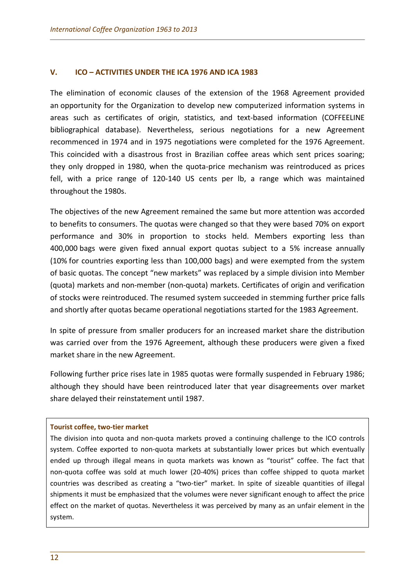## **V. ICO – ACTIVITIES UNDER THE ICA 1976 AND ICA 1983**

The elimination of economic clauses of the extension of the 1968 Agreement provided an opportunity for the Organization to develop new computerized information systems in areas such as certificates of origin, statistics, and text-based information (COFFEELINE bibliographical database). Nevertheless, serious negotiations for a new Agreement recommenced in 1974 and in 1975 negotiations were completed for the 1976 Agreement. This coincided with a disastrous frost in Brazilian coffee areas which sent prices soaring; they only dropped in 1980, when the quota-price mechanism was reintroduced as prices fell, with a price range of 120-140 US cents per lb, a range which was maintained throughout the 1980s.

The objectives of the new Agreement remained the same but more attention was accorded to benefits to consumers. The quotas were changed so that they were based 70% on export performance and 30% in proportion to stocks held. Members exporting less than 400,000 bags were given fixed annual export quotas subject to a 5% increase annually (10% for countries exporting less than 100,000 bags) and were exempted from the system of basic quotas. The concept "new markets" was replaced by a simple division into Member (quota) markets and non-member (non-quota) markets. Certificates of origin and verification of stocks were reintroduced. The resumed system succeeded in stemming further price falls and shortly after quotas became operational negotiations started for the 1983 Agreement.

In spite of pressure from smaller producers for an increased market share the distribution was carried over from the 1976 Agreement, although these producers were given a fixed market share in the new Agreement.

Following further price rises late in 1985 quotas were formally suspended in February 1986; although they should have been reintroduced later that year disagreements over market share delayed their reinstatement until 1987.

## **Tourist coffee, two-tier market**

The division into quota and non-quota markets proved a continuing challenge to the ICO controls system. Coffee exported to non-quota markets at substantially lower prices but which eventually ended up through illegal means in quota markets was known as "tourist" coffee. The fact that non-quota coffee was sold at much lower (20-40%) prices than coffee shipped to quota market countries was described as creating a "two-tier" market. In spite of sizeable quantities of illegal shipments it must be emphasized that the volumes were never significant enough to affect the price effect on the market of quotas. Nevertheless it was perceived by many as an unfair element in the system.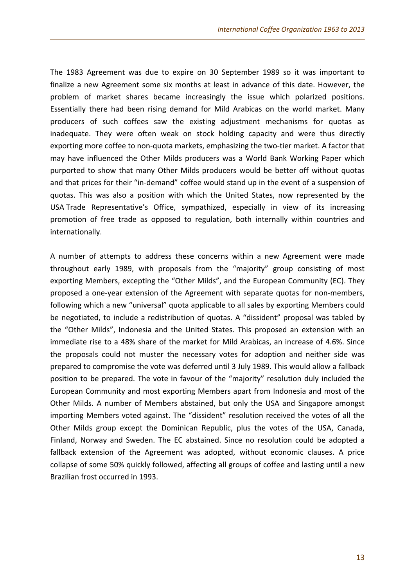The 1983 Agreement was due to expire on 30 September 1989 so it was important to finalize a new Agreement some six months at least in advance of this date. However, the problem of market shares became increasingly the issue which polarized positions. Essentially there had been rising demand for Mild Arabicas on the world market. Many producers of such coffees saw the existing adjustment mechanisms for quotas as inadequate. They were often weak on stock holding capacity and were thus directly exporting more coffee to non-quota markets, emphasizing the two-tier market. A factor that may have influenced the Other Milds producers was a World Bank Working Paper which purported to show that many Other Milds producers would be better off without quotas and that prices for their "in-demand" coffee would stand up in the event of a suspension of quotas. This was also a position with which the United States, now represented by the USA Trade Representative's Office, sympathized, especially in view of its increasing promotion of free trade as opposed to regulation, both internally within countries and internationally.

A number of attempts to address these concerns within a new Agreement were made throughout early 1989, with proposals from the "majority" group consisting of most exporting Members, excepting the "Other Milds", and the European Community (EC). They proposed a one-year extension of the Agreement with separate quotas for non-members, following which a new "universal" quota applicable to all sales by exporting Members could be negotiated, to include a redistribution of quotas. A "dissident" proposal was tabled by the "Other Milds", Indonesia and the United States. This proposed an extension with an immediate rise to a 48% share of the market for Mild Arabicas, an increase of 4.6%. Since the proposals could not muster the necessary votes for adoption and neither side was prepared to compromise the vote was deferred until 3 July 1989. This would allow a fallback position to be prepared. The vote in favour of the "majority" resolution duly included the European Community and most exporting Members apart from Indonesia and most of the Other Milds. A number of Members abstained, but only the USA and Singapore amongst importing Members voted against. The "dissident" resolution received the votes of all the Other Milds group except the Dominican Republic, plus the votes of the USA, Canada, Finland, Norway and Sweden. The EC abstained. Since no resolution could be adopted a fallback extension of the Agreement was adopted, without economic clauses. A price collapse of some 50% quickly followed, affecting all groups of coffee and lasting until a new Brazilian frost occurred in 1993.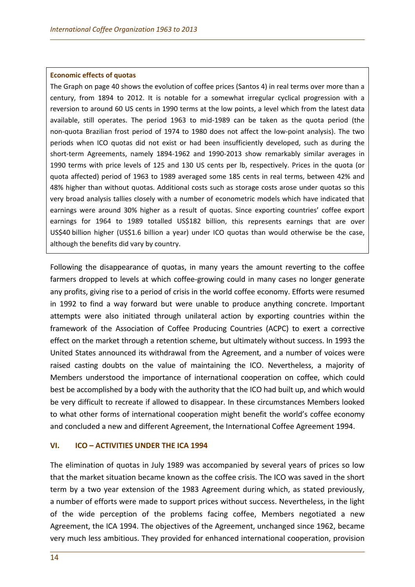#### **Economic effects of quotas**

The Graph on page 40 shows the evolution of coffee prices (Santos 4) in real terms over more than a century, from 1894 to 2012. It is notable for a somewhat irregular cyclical progression with a reversion to around 60 US cents in 1990 terms at the low points, a level which from the latest data available, still operates. The period 1963 to mid-1989 can be taken as the quota period (the non-quota Brazilian frost period of 1974 to 1980 does not affect the low-point analysis). The two periods when ICO quotas did not exist or had been insufficiently developed, such as during the short-term Agreements, namely 1894-1962 and 1990-2013 show remarkably similar averages in 1990 terms with price levels of 125 and 130 US cents per lb, respectively. Prices in the quota (or quota affected) period of 1963 to 1989 averaged some 185 cents in real terms, between 42% and 48% higher than without quotas. Additional costs such as storage costs arose under quotas so this very broad analysis tallies closely with a number of econometric models which have indicated that earnings were around 30% higher as a result of quotas. Since exporting countries' coffee export earnings for 1964 to 1989 totalled US\$182 billion, this represents earnings that are over US\$40 billion higher (US\$1.6 billion a year) under ICO quotas than would otherwise be the case, although the benefits did vary by country.

Following the disappearance of quotas, in many years the amount reverting to the coffee farmers dropped to levels at which coffee-growing could in many cases no longer generate any profits, giving rise to a period of crisis in the world coffee economy. Efforts were resumed in 1992 to find a way forward but were unable to produce anything concrete. Important attempts were also initiated through unilateral action by exporting countries within the framework of the Association of Coffee Producing Countries (ACPC) to exert a corrective effect on the market through a retention scheme, but ultimately without success. In 1993 the United States announced its withdrawal from the Agreement, and a number of voices were raised casting doubts on the value of maintaining the ICO. Nevertheless, a majority of Members understood the importance of international cooperation on coffee, which could best be accomplished by a body with the authority that the ICO had built up, and which would be very difficult to recreate if allowed to disappear. In these circumstances Members looked to what other forms of international cooperation might benefit the world's coffee economy and concluded a new and different Agreement, the International Coffee Agreement 1994.

#### **VI. ICO – ACTIVITIES UNDER THE ICA 1994**

The elimination of quotas in July 1989 was accompanied by several years of prices so low that the market situation became known as the coffee crisis. The ICO was saved in the short term by a two year extension of the 1983 Agreement during which, as stated previously, a number of efforts were made to support prices without success. Nevertheless, in the light of the wide perception of the problems facing coffee, Members negotiated a new Agreement, the ICA 1994. The objectives of the Agreement, unchanged since 1962, became very much less ambitious. They provided for enhanced international cooperation, provision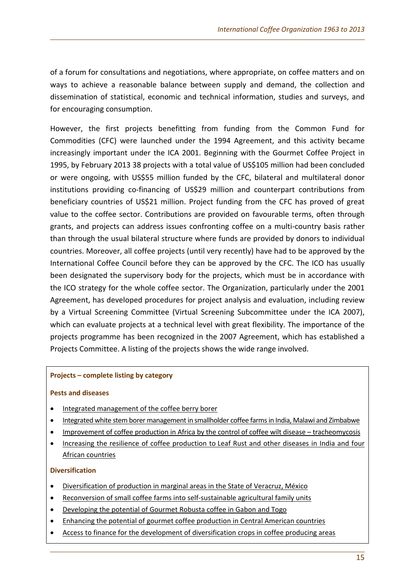of a forum for consultations and negotiations, where appropriate, on coffee matters and on ways to achieve a reasonable balance between supply and demand, the collection and dissemination of statistical, economic and technical information, studies and surveys, and for encouraging consumption.

However, the first projects benefitting from funding from the Common Fund for Commodities (CFC) were launched under the 1994 Agreement, and this activity became increasingly important under the ICA 2001. Beginning with the Gourmet Coffee Project in 1995, by February 2013 38 projects with a total value of US\$105 million had been concluded or were ongoing, with US\$55 million funded by the CFC, bilateral and multilateral donor institutions providing co-financing of US\$29 million and counterpart contributions from beneficiary countries of US\$21 million. Project funding from the CFC has proved of great value to the coffee sector. Contributions are provided on favourable terms, often through grants, and projects can address issues confronting coffee on a multi-country basis rather than through the usual bilateral structure where funds are provided by donors to individual countries. Moreover, all coffee projects (until very recently) have had to be approved by the International Coffee Council before they can be approved by the CFC. The ICO has usually been designated the supervisory body for the projects, which must be in accordance with the ICO strategy for the whole coffee sector. The Organization, particularly under the 2001 Agreement, has developed procedures for project analysis and evaluation, including review by a Virtual Screening Committee (Virtual Screening Subcommittee under the ICA 2007), which can evaluate projects at a technical level with great flexibility. The importance of the projects programme has been recognized in the 2007 Agreement, which has established a Projects Committee. A listing of the projects shows the wide range involved.

## **Projects – complete listing by category**

## **Pests and diseases**

- [Integrated management of the coffee berry borer](http://dev.ico.org/projects/02-p.htm)
- [Integrated white stem borer management in smallholder coffee farms in India, Malawi and Zimbabwe](http://dev.ico.org/projects/18-p.htm)
- [Improvement of coffee production in Africa by the control of coffee wilt disease –](http://dev.ico.org/projects/13-p.htm) tracheomycosis
- [Increasing the resilience of coffee production to](http://dev.ico.org/projects/40-p.htm) Leaf Rust and other diseases in India and four [African countries](http://dev.ico.org/projects/40-p.htm)

## **Diversification**

- [Diversification of production in marginal areas in the State of Veracruz, México](http://dev.ico.org/projects/32-d.htm)
- [Reconversion of small coffee farms into self-sustainable agricultural family units](http://dev.ico.org/projects/31-d.htm)
- [Developing the potential of Gourmet Robusta coffee in Gabon and Togo](http://dev.ico.org/projects/42-d.htm)
- [Enhancing the potential of gourmet coffee production in Central American countries](http://dev.ico.org/projects/39-d.htm)
- [Access to finance for the development of diversification crops in coffee producing](http://dev.ico.org/projects/30-d.htm) areas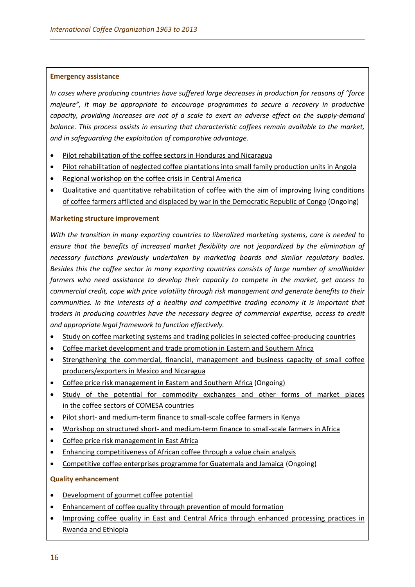#### **Emergency assistance**

*In cases where producing countries have suffered large decreases in production for reasons of "force majeure", it may be appropriate to encourage programmes to secure a recovery in productive capacity, providing increases are not of a scale to exert an adverse effect on the supply-demand balance. This process assists in ensuring that characteristic coffees remain available to the market, and in safeguarding the exploitation of comparative advantage.*

- [Pilot rehabilitation of the coffee sectors](http://dev.ico.org/projects/11-e.htm) in Honduras and Nicaragua
- [Pilot rehabilitation of neglected coffee plantations into small family production units in](http://dev.ico.org/projects/15-e.htm) Angola
- [Regional workshop on the coffee crisis in Central America](http://dev.ico.org/projects/26-e.htm)
- [Qualitative and quantitative rehabilitation of coffee with the aim of improving living conditions](http://dev.ico.org/projects/51-e-drcongo.htm)  [of coffee farmers afflicted and displaced by war in the Democratic Republic of Congo](http://dev.ico.org/projects/51-e-drcongo.htm) (Ongoing)

#### **Marketing structure improvement**

*With the transition in many exporting countries to liberalized marketing systems, care is needed to ensure that the benefits of increased market flexibility are not jeopardized by the elimination of necessary functions previously undertaken by marketing boards and similar regulatory bodies. Besides this the coffee sector in many exporting countries consists of large number of smallholder farmers who need assistance to develop their capacity to compete in the market, get access to commercial credit, cope with price volatility through risk management and generate benefits to their communities. In the interests of a healthy and competitive trading economy it is important that traders in producing countries have the necessary degree of commercial expertise, access to credit and appropriate legal framework to function effectively.*

- [Study on coffee marketing systems and trading policies in selected coffee-producing countries](http://dev.ico.org/projects/04-m.htm)
- [Coffee market development and trade promotion in Eastern and](http://dev.ico.org/projects/03-m.htm) Southern Africa
- [Strengthening the commercial, financial, management and business capacity of small coffee](http://dev.ico.org/projects/16-m.htm)  [producers/exporters in Mexico and Nicaragua](http://dev.ico.org/projects/16-m.htm)
- [Coffee price risk management in Eastern and Southern Africa](http://dev.ico.org/projects/21FA-m.htm) (Ongoing)
- [Study of the potential for commodity exchanges and other forms of market places](http://dev.ico.org/projects/24-m.htm) [in the coffee sectors of COMESA countries](http://dev.ico.org/projects/24-m.htm)
- Pilot short- and medium-term finance to small-scale coffee farmers in Kenya
- Workshop on structured short- [and medium-term finance to small-scale farmers in Africa](http://dev.ico.org/projects/20FT-m.htm)
- [Coffee price risk management in East Africa](http://dev.ico.org/projects/21FT-m.htm)
- [Enhancing competitiveness of African coffee](http://dev.ico.org/projects/43-m.htm) through a value chain analysis
- [Competitive coffee enterprises programme for Guatemala and Jamaica](http://dev.ico.org/projects/46-m-competitive-enterprises.html) (Ongoing)

## **Quality enhancement**

- [Development of gourmet coffee potential](http://dev.ico.org/projects/01-q.htm)
- [Enhancement of coffee quality through prevention of mould formation](http://dev.ico.org/projects/06-q.htm)
- [Improving coffee quality in East and Central Africa through enhanced processing practices in](http://dev.ico.org/projects/22-q.htm)  [Rwanda and Ethiopia](http://dev.ico.org/projects/22-q.htm)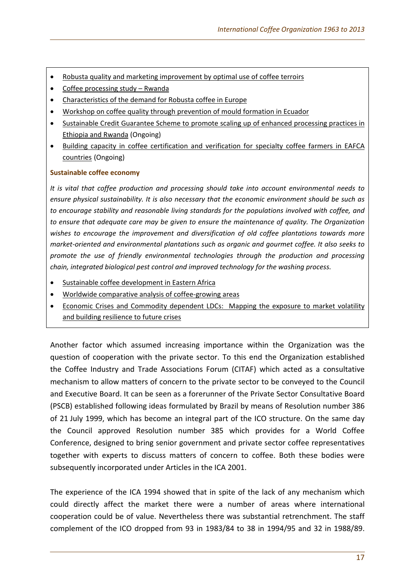- [Robusta quality and marketing improvement by optimal use of coffee terroirs](http://dev.ico.org/projects/05-q.htm)
- [Coffee processing study –](http://dev.ico.org/projects/17-q.htm) Rwanda
- [Characteristics of the demand for Robusta coffee in Europe](http://dev.ico.org/projects/05FT-q.htm)
- Workshop on coffee quality through [prevention of mould formation in Ecuador](http://dev.ico.org/projects/25-q.htm)
- [Sustainable Credit Guarantee Scheme to promote scaling up of enhanced processing practices in](http://dev.ico.org/projects/48-q-sustainable-credit.html)  [Ethiopia and Rwanda](http://dev.ico.org/projects/48-q-sustainable-credit.html) (Ongoing)
- [Building capacity in coffee certification and verification for specialty coffee farmers in EAFCA](http://dev.ico.org/projects/45-q-eafca.html)  [countries](http://dev.ico.org/projects/45-q-eafca.html) (Ongoing)

## **Sustainable coffee economy**

*It is vital that coffee production and processing should take into account environmental needs to ensure physical sustainability. It is also necessary that the economic environment should be such as to encourage stability and reasonable living standards for the populations involved with coffee, and to ensure that adequate care may be given to ensure the maintenance of quality. The Organization wishes to encourage the improvement and diversification of old coffee plantations towards more market-oriented and environmental plantations such as organic and gourmet coffee. It also seeks to promote the use of friendly environmental technologies through the production and processing chain, integrated biological pest control and improved technology for the washing process.* 

- [Sustainable coffee development in Eastern Africa](http://dev.ico.org/projects/29-s.htm)
- [Worldwide comparative analysis of coffee-growing areas](http://dev.ico.org/projects/10-s.htm)
- [Economic Crises and Commodity dependent LDCs: Mapping the exposure to market volatility](http://dev.ico.org/projects/49-s-economic-ldc.html)  [and building resilience to future crises](http://dev.ico.org/projects/49-s-economic-ldc.html)

Another factor which assumed increasing importance within the Organization was the question of cooperation with the private sector. To this end the Organization established the Coffee Industry and Trade Associations Forum (CITAF) which acted as a consultative mechanism to allow matters of concern to the private sector to be conveyed to the Council and Executive Board. It can be seen as a forerunner of the Private Sector Consultative Board (PSCB) established following ideas formulated by Brazil by means of Resolution number 386 of 21 July 1999, which has become an integral part of the ICO structure. On the same day the Council approved Resolution number 385 which provides for a World Coffee Conference, designed to bring senior government and private sector coffee representatives together with experts to discuss matters of concern to coffee. Both these bodies were subsequently incorporated under Articles in the ICA 2001.

The experience of the ICA 1994 showed that in spite of the lack of any mechanism which could directly affect the market there were a number of areas where international cooperation could be of value. Nevertheless there was substantial retrenchment. The staff complement of the ICO dropped from 93 in 1983/84 to 38 in 1994/95 and 32 in 1988/89.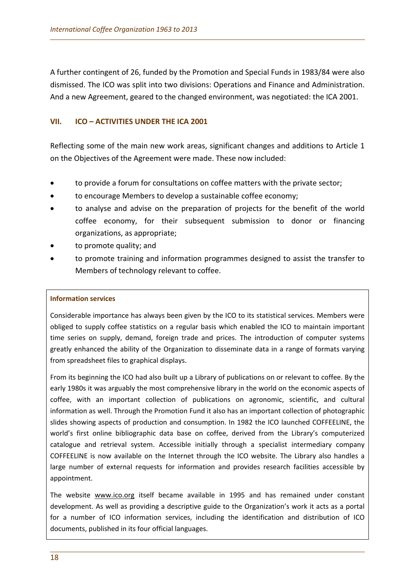A further contingent of 26, funded by the Promotion and Special Funds in 1983/84 were also dismissed. The ICO was split into two divisions: Operations and Finance and Administration. And a new Agreement, geared to the changed environment, was negotiated: the ICA 2001.

## **VII. ICO – ACTIVITIES UNDER THE ICA 2001**

Reflecting some of the main new work areas, significant changes and additions to Article 1 on the Objectives of the Agreement were made. These now included:

- to provide a forum for consultations on coffee matters with the private sector;
- to encourage Members to develop a sustainable coffee economy;
- to analyse and advise on the preparation of projects for the benefit of the world coffee economy, for their subsequent submission to donor or financing organizations, as appropriate;
- to promote quality; and
- to promote training and information programmes designed to assist the transfer to Members of technology relevant to coffee.

## **Information services**

Considerable importance has always been given by the ICO to its statistical services. Members were obliged to supply coffee statistics on a regular basis which enabled the ICO to maintain important time series on supply, demand, foreign trade and prices. The introduction of computer systems greatly enhanced the ability of the Organization to disseminate data in a range of formats varying from spreadsheet files to graphical displays.

From its beginning the ICO had also built up a Library of publications on or relevant to coffee. By the early 1980s it was arguably the most comprehensive library in the world on the economic aspects of coffee, with an important collection of publications on agronomic, scientific, and cultural information as well. Through the Promotion Fund it also has an important collection of photographic slides showing aspects of production and consumption. In 1982 the ICO launched COFFEELINE, the world's first online bibliographic data base on coffee, derived from the Library's computerized catalogue and retrieval system. Accessible initially through a specialist intermediary company COFFEELINE is now available on the Internet through the ICO website. The Library also handles a large number of external requests for information and provides research facilities accessible by appointment.

The website [www.ico.org](http://www.ico.org/) itself became available in 1995 and has remained under constant development. As well as providing a descriptive guide to the Organization's work it acts as a portal for a number of ICO information services, including the identification and distribution of ICO documents, published in its four official languages.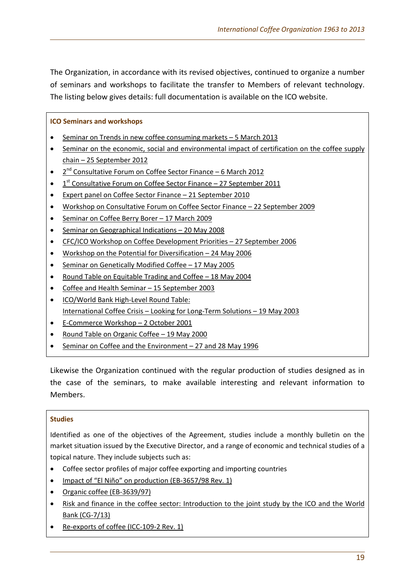The Organization, in accordance with its revised objectives, continued to organize a number of seminars and workshops to facilitate the transfer to Members of relevant technology. The listing below gives details: full documentation is available on the ICO website.

## **ICO Seminars and workshops**

- [Seminar on Trends in new coffee consuming markets –](http://www.ico.org/seminar-consumption.asp) 5 March 2013
- [Seminar on the economic, social and environmental impact of certification on the coffee supply](http://www.ico.org/seminar-certification.asp)  chain – [25 September 2012](http://www.ico.org/seminar-certification.asp)
- 2<sup>nd</sup> Consultative Forum on Coffee Sector Finance 6 March 2012
- $1<sup>st</sup>$  [Consultative Forum on Coffee Sector Finance –](http://www.ico.org/forum_e.asp?section=Meetings/Documents) 27 September 2011
- [Expert panel on Coffee Sector Finance –](http://www.ico.org/workshop.asp?section=Meetings/Documents) 21 September 2010
- [Workshop on Consultative Forum on Coffee Sector Finance –](http://www.ico.org/workshop.asp?section=Meetings/Documents) 22 September 2009
- [Seminar on Coffee Berry Borer –](http://www.ico.org/workshop.asp?section=Meetings/Documents) 17 March 2009
- [Seminar on Geographical Indications –](http://www.ico.org/workshop.asp?section=Meetings/Documents) 20 May 2008
- [CFC/ICO Workshop on Coffee Development Priorities –](http://www.ico.org/workshop.asp?section=Meetings/Documents) 27 September 2006
- [Workshop on the Potential for Diversification –](http://www.ico.org/workshop.asp?section=Meetings/Documents) 24 May 2006
- [Seminar on Genetically Modified Coffee –](http://www.ico.org/workshop.asp?section=Meetings/Documents) 17 May 2005
- [Round Table on Equitable Trading and Coffee –](http://www.ico.org/workshop.asp?section=Meetings/Documents) 18 May 2004
- Coffee and Health Seminar [15 September 2003](http://www.ico.org/workshop.asp?section=Meetings/Documents)
- [ICO/World Bank High-Level Round Table:](http://www.ico.org/workshop.asp?section=Meetings/Documents) International Coffee Crisis – [Looking for Long-Term Solutions –](http://www.ico.org/workshop.asp?section=Meetings/Documents) 19 May 2003
- [E-Commerce Workshop –](http://www.ico.org/workshop.asp?section=Meetings/Documents) 2 October 2001
- [Round Table on Organic Coffee –](http://www.ico.org/workshop.asp?section=Meetings/Documents) 19 May 2000
- [Seminar on Coffee and the Environment –](http://www.ico.org/workshop.asp?section=Meetings/Documents) 27 and 28 May 1996

Likewise the Organization continued with the regular production of studies designed as in the case of the seminars, to make available interesting and relevant information to Members.

#### **Studies**

Identified as one of the objectives of the Agreement, studies include a monthly bulletin on the market situation issued by the Executive Director, and a range of economic and technical studies of a topical nature. They include subjects such as:

- Coffee sector profiles of major coffee exporting and importing countries
- [Impact of "El Niño" on production](http://www.ico.org/documents/eb3657r1e.pdf) (EB-3657/98 Rev. 1)
- [Organic coffee \(EB-3639/97\)](http://www.ico.org/documents/eb3639e.pdf)
- [Risk and finance in the coffee sector: Introduction to the joint study by the ICO and the World](http://dev.ico.org/documents/cy2012-13/cg-7e-risk-study-ico-world-bank.pdf)  [Bank \(CG-7/13\)](http://dev.ico.org/documents/cy2012-13/cg-7e-risk-study-ico-world-bank.pdf)
- [Re-exports of coffee \(ICC-109-2 Rev. 1\)](http://dev.ico.org/documents/icc-109-2-r1e-re-exports.pdf)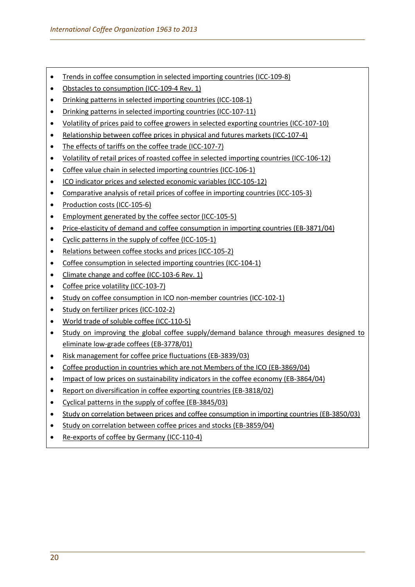- [Trends in coffee consumption in selected importing countries \(ICC-109-8\)](http://dev.ico.org/documents/icc-109-8e-trends-consumption.pdf)
- [Obstacles to consumption \(ICC-109-4 Rev. 1\)](http://dev.ico.org/documents/icc-109-4-r1e-obstacles-consumption.pdf)
- [Drinking patterns in selected importing countries \(ICC-108-1\)](http://dev.ico.org/documents/icc-108-1e-drinking-patterns.pdf)
- [Drinking patterns in selected importing countries \(ICC-107-11\)](http://dev.ico.org/documents/icc-107-11e-drinking-patterns.pdf)
- [Volatility of prices paid to coffee growers in selected exporting countries \(ICC-107-10\)](http://dev.ico.org/documents/icc-107-10e-volatility.pdf)
- [Relationship between coffee prices in physical and futures markets \(ICC-107-4\)](http://dev.ico.org/documents/icc-107-4e-prices-markets.pdf)
- [The effects of tariffs on the coffee trade \(ICC-107-7\)](http://dev.ico.org/documents/icc-107-7e-tariffs-trade.pdf)
- [Volatility of retail prices of roasted coffee in selected importing countries \(ICC-106-12\)](http://dev.ico.org/documents/icc-106-12e-volatility.pdf)
- [Coffee value chain in selected importing countries \(ICC-106-1\)](http://dev.ico.org/documents/icc-106-1e-value-chain.pdf)
- [ICO indicator prices and selected economic variables \(ICC-105-12\)](http://dev.ico.org/documents/icc-105-12e-indicator-prices.pdf)
- [Comparative analysis of retail prices of coffee in importing countries \(ICC-105-3\)](http://dev.ico.org/documents/icc-105-3e-retail-prices.pdf)
- [Production costs \(ICC-105-6\)](http://dev.ico.org/documents/icc-105-6e-production-costs.pdf)
- [Employment generated by the coffee sector \(ICC-105-5\)](http://dev.ico.org/documents/icc-105-5e-employment.pdf)
- [Price-elasticity of demand and coffee consumption in importing countries \(EB-3871/04\)](http://ico.heritage4.com/heritage/heridata/ico_pdf_docs/cy2003-04/English/eb/eb3871e.pdf)
- [Cyclic patterns in the supply of coffee \(ICC-105-1\)](http://dev.ico.org/documents/icc-105-1e-cyclic-patterns.pdf)
- [Relations between coffee stocks and prices \(ICC-105-2\)](http://dev.ico.org/documents/icc-105-2e-stocks.pdf)
- [Coffee consumption in selected importing countries \(ICC-104-1\)](http://dev.ico.org/documents/icc-104-1e-consumption.pdf)
- [Climate change and coffee \(ICC-103-6 Rev. 1\)](http://dev.ico.org/documents/icc-103-6-r1e-climate-change.pdf)
- Coffee [price volatility \(ICC-103-7\)](http://dev.ico.org/documents/icc-103-7e-volatility.pdf)
- [Study on coffee consumption in ICO non-member countries \(ICC-102-1\)](http://dev.ico.org/documents/icc-102-1e-consumption-non-members.pdf)
- [Study on fertilizer prices \(ICC-102-2\)](http://dev.ico.org/documents/icc-102-2e-fertilizers.pdf)
- [World trade of soluble coffee \(ICC-110-5\)](http://dev.ico.org/documents/cy2012-13/icc-110-5e-soluble.pdf)
- [Study on improving the global coffee supply/demand balance](http://www.ico.org/documents/eb3778e.pdf) through measures designed to [eliminate low-grade coffees \(EB-3778/01\)](http://www.ico.org/documents/eb3778e.pdf)
- [Risk management for coffee price fluctuations \(EB-3839/03\)](http://www.ico.org/documents/eb3839e.pdf)
- [Coffee production in countries which are not Members of the ICO \(EB-3869/04\)](http://www.ico.org/documents/eb3869e.pdf)
- [Impact of low prices on sustainability indicators in the coffee economy \(EB-3864/04\)](http://www.ico.org/documents/eb3864e.pdf)
- [Report on diversification in coffee exporting countries \(EB-3818/02\)](http://www.ico.org/documents/eb3818e.pdf)
- [Cyclical patterns in the supply of coffee \(EB-3845/03\)](http://www.ico.org/documents/eb3845e.pdf)
- [Study on correlation between prices and coffee consumption in importing countries \(EB-3850/03\)](http://www.ico.org/documents/eb3850e.pdf)
- [Study on correlation between coffee prices and stocks \(EB-3859/04\)](http://www.ico.org/documents/eb3859e.pdf)
- [Re-exports of coffee by Germany \(ICC-110-4\)](http://dev.ico.org/documents/cy2012-13/icc-110-4e-re-exports-germany.pdf)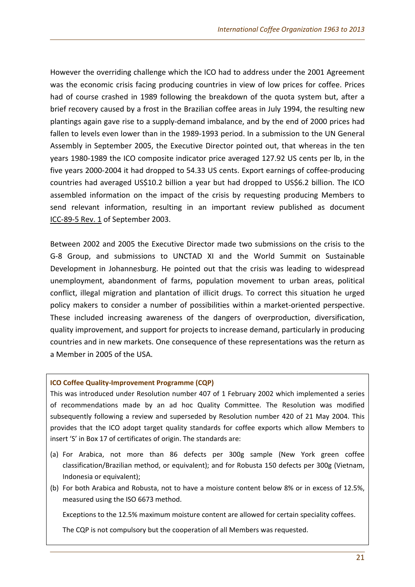However the overriding challenge which the ICO had to address under the 2001 Agreement was the economic crisis facing producing countries in view of low prices for coffee. Prices had of course crashed in 1989 following the breakdown of the quota system but, after a brief recovery caused by a frost in the Brazilian coffee areas in July 1994, the resulting new plantings again gave rise to a supply-demand imbalance, and by the end of 2000 prices had fallen to levels even lower than in the 1989-1993 period. In a submission to the UN General Assembly in September 2005, the Executive Director pointed out, that whereas in the ten years 1980-1989 the ICO composite indicator price averaged 127.92 US cents per lb, in the five years 2000-2004 it had dropped to 54.33 US cents. Export earnings of coffee-producing countries had averaged US\$10.2 billion a year but had dropped to US\$6.2 billion. The ICO assembled information on the impact of the crisis by requesting producing Members to send relevant information, resulting in an important review published as document [ICC-89-5](http://dev.ico.org/documents/icc89-5r1e.pdf) Rev. 1 of September 2003.

Between 2002 and 2005 the Executive Director made two submissions on the crisis to the G-8 Group, and submissions to UNCTAD XI and the World Summit on Sustainable Development in Johannesburg. He pointed out that the crisis was leading to widespread unemployment, abandonment of farms, population movement to urban areas, political conflict, illegal migration and plantation of illicit drugs. To correct this situation he urged policy makers to consider a number of possibilities within a market-oriented perspective. These included increasing awareness of the dangers of overproduction, diversification, quality improvement, and support for projects to increase demand, particularly in producing countries and in new markets. One consequence of these representations was the return as a Member in 2005 of the USA.

#### **ICO Coffee Quality-Improvement Programme (CQP)**

This was introduced under Resolution number 407 of 1 February 2002 which implemented a series of recommendations made by an ad hoc Quality Committee. The Resolution was modified subsequently following a review and superseded by Resolution number 420 of 21 May 2004. This provides that the ICO adopt target quality standards for coffee exports which allow Members to insert 'S' in Box 17 of certificates of origin. The standards are:

- (a) For Arabica, not more than 86 defects per 300g sample (New York green coffee classification/Brazilian method, or equivalent); and for Robusta 150 defects per 300g (Vietnam, Indonesia or equivalent);
- (b) For both Arabica and Robusta, not to have a moisture content below 8% or in excess of 12.5%, measured using the ISO 6673 method.

Exceptions to the 12.5% maximum moisture content are allowed for certain speciality coffees.

The CQP is not compulsory but the cooperation of all Members was requested.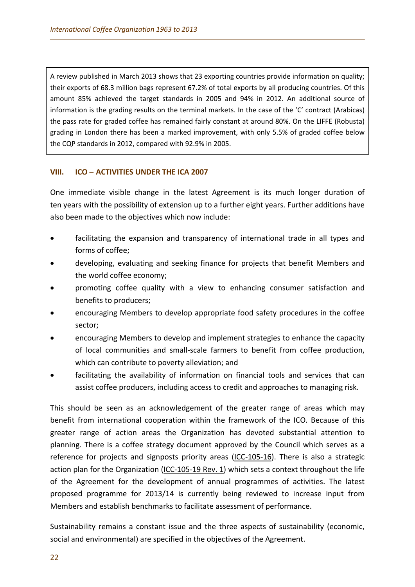A review published in March 2013 shows that 23 exporting countries provide information on quality; their exports of 68.3 million bags represent 67.2% of total exports by all producing countries. Of this amount 85% achieved the target standards in 2005 and 94% in 2012. An additional source of information is the grading results on the terminal markets. In the case of the 'C' contract (Arabicas) the pass rate for graded coffee has remained fairly constant at around 80%. On the LIFFE (Robusta) grading in London there has been a marked improvement, with only 5.5% of graded coffee below the CQP standards in 2012, compared with 92.9% in 2005.

## **VIII. ICO – ACTIVITIES UNDER THE ICA 2007**

One immediate visible change in the latest Agreement is its much longer duration of ten years with the possibility of extension up to a further eight years. Further additions have also been made to the objectives which now include:

- facilitating the expansion and transparency of international trade in all types and forms of coffee;
- developing, evaluating and seeking finance for projects that benefit Members and the world coffee economy;
- promoting coffee quality with a view to enhancing consumer satisfaction and benefits to producers;
- encouraging Members to develop appropriate food safety procedures in the coffee sector;
- encouraging Members to develop and implement strategies to enhance the capacity of local communities and small-scale farmers to benefit from coffee production, which can contribute to poverty alleviation; and
- facilitating the availability of information on financial tools and services that can assist coffee producers, including access to credit and approaches to managing risk.

This should be seen as an acknowledgement of the greater range of areas which may benefit from international cooperation within the framework of the ICO. Because of this greater range of action areas the Organization has devoted substantial attention to planning. There is a coffee strategy document approved by the Council which serves as a reference for projects and signposts priority areas [\(ICC-105-16\)](http://dev.ico.org/documents/icc-105-16e-strategy.pdf). There is also a strategic action plan for the Organization [\(ICC-105-19 Rev.](http://dev.ico.org/documents/icc-105-19-r1e-action-plan.pdf) 1) which sets a context throughout the life of the Agreement for the development of annual programmes of activities. The latest proposed programme for 2013/14 is currently being reviewed to increase input from Members and establish benchmarks to facilitate assessment of performance.

Sustainability remains a constant issue and the three aspects of sustainability (economic, social and environmental) are specified in the objectives of the Agreement.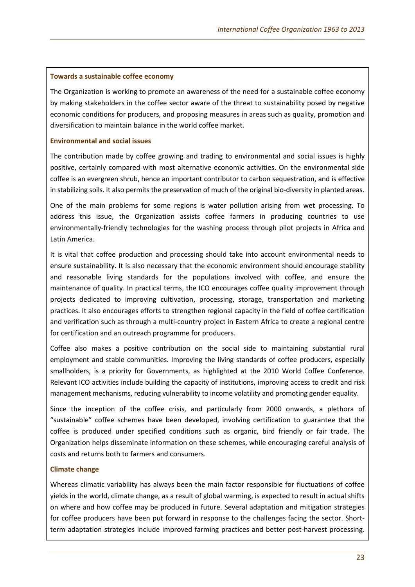#### **Towards a sustainable coffee economy**

The Organization is working to promote an awareness of the need for a sustainable coffee economy by making stakeholders in the coffee sector aware of the threat to sustainability posed by negative economic conditions for producers, and proposing measures in areas such as [quality,](http://dev.ico.org/improving_quality.asp) [promotion](http://dev.ico.org/promoting_consumption.asp) and [diversification](http://dev.ico.org/diversification.asp) to maintain balance in the world coffee market.

#### **Environmental and social issues**

The contribution made by coffee growing and trading to environmental and social issues is highly positive, certainly compared with most alternative economic activities. On the environmental side coffee is an evergreen shrub, hence an important contributor to carbon sequestration, and is effective in stabilizing soils. It also permits the preservation of much of the original bio-diversity in planted areas.

One of the main problems for some regions is water pollution arising from wet processing. To address this issue, the Organization assists coffee farmers in producing countries to use environmentally-friendly technologies for the washing process through pilot projects in Africa and [Latin America.](http://dev.ico.org/projects/11-e.htm)

It is vital that coffee production and processing should take into account environmental needs to ensure sustainability. It is also necessary that the economic environment should encourage stability and reasonable living standards for the populations involved with coffee, and ensure the maintenance of quality. In practical terms, the ICO encourages coffee quality improvement through projects dedicated to [improving cultivation,](http://dev.ico.org/projects/10-s.htm) [processing,](http://dev.ico.org/projects/39-d.htm) [storage, transportation](http://dev.ico.org/projects/06-q.htm) and [marketing](http://dev.ico.org/projects/16-m.htm)  [practices.](http://dev.ico.org/projects/16-m.htm) It also encourages efforts to strengthen regional capacity in the field of coffee certification and verification such as through a [multi-country project in Eastern](http://dev.ico.org/documents/wpboard1023e.pdf) Africa to create a regional centre for certification and an outreach programme for producers.

Coffee also makes a positive contribution on the social side to maintaining substantial rural employment and stable communities. Improving the living standards of coffee producers, especially smallholders, is a priority for Governments, as highlighted at the 2010 [World Coffee Conference.](http://dev.ico.org/wconference.asp) Relevant ICO activities include building the capacity of institutions, improving access to credit and risk management mechanisms, reducing vulnerability to income volatility and promoting gender equality.

Since the inception of the coffee crisis, and particularly from 2000 onwards, a plethora of "sustainable" coffee schemes have been developed, involving certification to guarantee that the coffee is produced under specified conditions such as organic, bird friendly or fair trade. The Organization helps disseminate information on these schemes, while encouraging careful analysis of costs and returns both to farmers and consumers.

## **Climate change**

Whereas climatic variability has always been the main factor responsible for fluctuations of coffee yields in the world, climate change, as a result of global warming, is expected to result in actual shifts on where and how coffee may be produced in future. Several adaptation and mitigation strategies for coffee producers have been put forward in response to the challenges facing the sector. Shortterm adaptation strategies include improved farming practices and better post-harvest processing.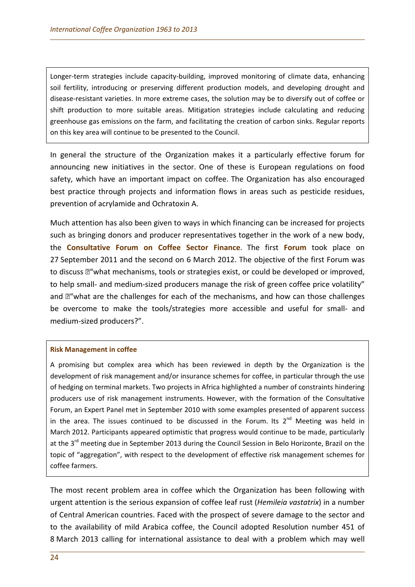Longer-term strategies include capacity-building, improved monitoring of climate data, enhancing soil fertility, introducing or preserving different production models, and developing drought and disease-resistant varieties. In more extreme cases, the solution may be to diversify out of coffee or shift production to more suitable areas. Mitigation strategies include calculating and reducing greenhouse gas emissions on the farm, and facilitating the creation of carbon sinks. Regular reports on this key area will continue to be presented to the Council.

In general the structure of the Organization makes it a particularly effective forum for announcing new initiatives in the sector. One of these is European regulations on food safety, which have an important impact on coffee. The Organization has also encouraged best practice through projects and information flows in areas such as pesticide residues, prevention of acrylamide and Ochratoxin A.

Much attention has also been given to ways in which financing can be increased for projects such as bringing donors and producer representatives together in the work of a new body, the **Consultative Forum on Coffee Sector Finance**. The first **Forum** took place on 27 September 2011 and the second on 6 March 2012. The objective of the first Forum was to discuss  $\mathbb{Z}^n$  what mechanisms, tools or strategies exist, or could be developed or improved, to help small- and medium-sized producers manage the risk of green coffee price volatility" and  $\mathbb{Z}^n$  what are the challenges for each of the mechanisms, and how can those challenges be overcome to make the tools/strategies more accessible and useful for small- and medium-sized producers?".

#### **Risk Management in coffee**

A promising but complex area which has been reviewed in depth by the Organization is the development of risk management and/or insurance schemes for coffee, in particular through the use of hedging on terminal markets. Two projects in Africa highlighted a number of constraints hindering producers use of risk management instruments. However, with the formation of the Consultative Forum, an Expert Panel met in September 2010 with some examples presented of apparent success in the area. The issues continued to be discussed in the Forum. Its  $2^{nd}$  Meeting was held in March 2012. Participants appeared optimistic that progress would continue to be made, particularly at the 3<sup>rd</sup> meeting due in September 2013 during the Council Session in Belo Horizonte, Brazil on the topic of "aggregation", with respect to the development of effective risk management schemes for coffee farmers.

The most recent problem area in coffee which the Organization has been following with urgent attention is the serious expansion of coffee leaf rust (*Hemileia vastatrix*) in a number of Central American countries. Faced with the prospect of severe damage to the sector and to the availability of mild Arabica coffee, the Council adopted Resolution number 451 of 8 March 2013 calling for international assistance to deal with a problem which may well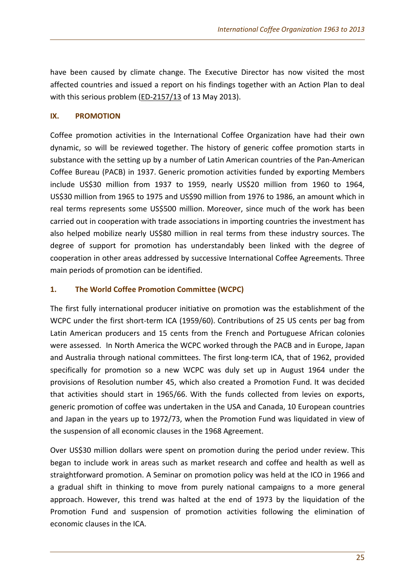have been caused by climate change. The Executive Director has now visited the most affected countries and issued a report on his findings together with an Action Plan to deal with this serious problem [\(ED-2157/13](http://dev.ico.org/documents/cy2012-13/ed-2157e-report-clr.pdf) of 13 May 2013).

## **IX. PROMOTION**

Coffee promotion activities in the International Coffee Organization have had their own dynamic, so will be reviewed together. The history of generic coffee promotion starts in substance with the setting up by a number of Latin American countries of the Pan-American Coffee Bureau (PACB) in 1937. Generic promotion activities funded by exporting Members include US\$30 million from 1937 to 1959, nearly US\$20 million from 1960 to 1964, US\$30 million from 1965 to 1975 and US\$90 million from 1976 to 1986, an amount which in real terms represents some US\$500 million. Moreover, since much of the work has been carried out in cooperation with trade associations in importing countries the investment has also helped mobilize nearly US\$80 million in real terms from these industry sources. The degree of support for promotion has understandably been linked with the degree of cooperation in other areas addressed by successive International Coffee Agreements. Three main periods of promotion can be identified.

## **1. The World Coffee Promotion Committee (WCPC)**

The first fully international producer initiative on promotion was the establishment of the WCPC under the first short-term ICA (1959/60). Contributions of 25 US cents per bag from Latin American producers and 15 cents from the French and Portuguese African colonies were assessed. In North America the WCPC worked through the PACB and in Europe, Japan and Australia through national committees. The first long-term ICA, that of 1962, provided specifically for promotion so a new WCPC was duly set up in August 1964 under the provisions of Resolution number 45, which also created a Promotion Fund. It was decided that activities should start in 1965/66. With the funds collected from levies on exports, generic promotion of coffee was undertaken in the USA and Canada, 10 European countries and Japan in the years up to 1972/73, when the Promotion Fund was liquidated in view of the suspension of all economic clauses in the 1968 Agreement.

Over US\$30 million dollars were spent on promotion during the period under review. This began to include work in areas such as market research and coffee and health as well as straightforward promotion. A Seminar on promotion policy was held at the ICO in 1966 and a gradual shift in thinking to move from purely national campaigns to a more general approach. However, this trend was halted at the end of 1973 by the liquidation of the Promotion Fund and suspension of promotion activities following the elimination of economic clauses in the ICA.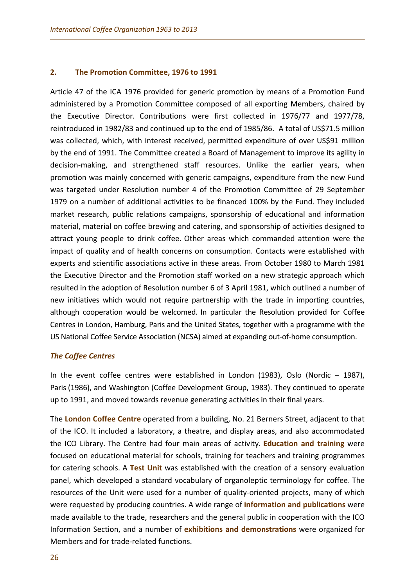#### **2. The Promotion Committee, 1976 to 1991**

Article 47 of the ICA 1976 provided for generic promotion by means of a Promotion Fund administered by a Promotion Committee composed of all exporting Members, chaired by the Executive Director. Contributions were first collected in 1976/77 and 1977/78, reintroduced in 1982/83 and continued up to the end of 1985/86. A total of US\$71.5 million was collected, which, with interest received, permitted expenditure of over US\$91 million by the end of 1991. The Committee created a Board of Management to improve its agility in decision-making, and strengthened staff resources. Unlike the earlier years, when promotion was mainly concerned with generic campaigns, expenditure from the new Fund was targeted under Resolution number 4 of the Promotion Committee of 29 September 1979 on a number of additional activities to be financed 100% by the Fund. They included market research, public relations campaigns, sponsorship of educational and information material, material on coffee brewing and catering, and sponsorship of activities designed to attract young people to drink coffee. Other areas which commanded attention were the impact of quality and of health concerns on consumption. Contacts were established with experts and scientific associations active in these areas. From October 1980 to March 1981 the Executive Director and the Promotion staff worked on a new strategic approach which resulted in the adoption of Resolution number 6 of 3 April 1981, which outlined a number of new initiatives which would not require partnership with the trade in importing countries, although cooperation would be welcomed. In particular the Resolution provided for Coffee Centres in London, Hamburg, Paris and the United States, together with a programme with the US National Coffee Service Association (NCSA) aimed at expanding out-of-home consumption.

## *The Coffee Centres*

In the event coffee centres were established in London (1983), Oslo (Nordic – 1987), Paris (1986), and Washington (Coffee Development Group, 1983). They continued to operate up to 1991, and moved towards revenue generating activities in their final years.

The **London Coffee Centre** operated from a building, No. 21 Berners Street, adjacent to that of the ICO. It included a laboratory, a theatre, and display areas, and also accommodated the ICO Library. The Centre had four main areas of activity. **Education and training** were focused on educational material for schools, training for teachers and training programmes for catering schools. A **Test Unit** was established with the creation of a sensory evaluation panel, which developed a standard vocabulary of organoleptic terminology for coffee. The resources of the Unit were used for a number of quality-oriented projects, many of which were requested by producing countries. A wide range of **information and publications** were made available to the trade, researchers and the general public in cooperation with the ICO Information Section, and a number of **exhibitions and demonstrations** were organized for Members and for trade-related functions.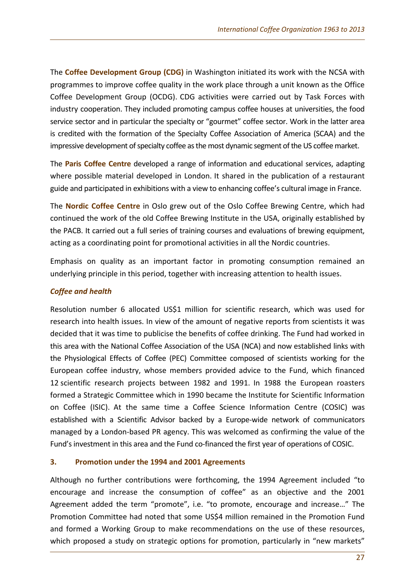The **Coffee Development Group (CDG)** in Washington initiated its work with the NCSA with programmes to improve coffee quality in the work place through a unit known as the Office Coffee Development Group (OCDG). CDG activities were carried out by Task Forces with industry cooperation. They included promoting campus coffee houses at universities, the food service sector and in particular the specialty or "gourmet" coffee sector. Work in the latter area is credited with the formation of the Specialty Coffee Association of America (SCAA) and the impressive development of specialty coffee as the most dynamic segment of the US coffee market.

The **Paris Coffee Centre** developed a range of information and educational services, adapting where possible material developed in London. It shared in the publication of a restaurant guide and participated in exhibitions with a view to enhancing coffee's cultural image in France.

The **Nordic Coffee Centre** in Oslo grew out of the Oslo Coffee Brewing Centre, which had continued the work of the old Coffee Brewing Institute in the USA, originally established by the PACB. It carried out a full series of training courses and evaluations of brewing equipment, acting as a coordinating point for promotional activities in all the Nordic countries.

Emphasis on quality as an important factor in promoting consumption remained an underlying principle in this period, together with increasing attention to health issues.

## *Coffee and health*

Resolution number 6 allocated US\$1 million for scientific research, which was used for research into health issues. In view of the amount of negative reports from scientists it was decided that it was time to publicise the benefits of coffee drinking. The Fund had worked in this area with the National Coffee Association of the USA (NCA) and now established links with the Physiological Effects of Coffee (PEC) Committee composed of scientists working for the European coffee industry, whose members provided advice to the Fund, which financed 12 scientific research projects between 1982 and 1991. In 1988 the European roasters formed a Strategic Committee which in 1990 became the Institute for Scientific Information on Coffee (ISIC). At the same time a Coffee Science Information Centre (COSIC) was established with a Scientific Advisor backed by a Europe-wide network of communicators managed by a London-based PR agency. This was welcomed as confirming the value of the Fund's investment in this area and the Fund co-financed the first year of operations of COSIC.

## **3. Promotion under the 1994 and 2001 Agreements**

Although no further contributions were forthcoming, the 1994 Agreement included "to encourage and increase the consumption of coffee" as an objective and the 2001 Agreement added the term "promote", i.e. "to promote, encourage and increase…" The Promotion Committee had noted that some US\$4 million remained in the Promotion Fund and formed a Working Group to make recommendations on the use of these resources, which proposed a study on strategic options for promotion, particularly in "new markets"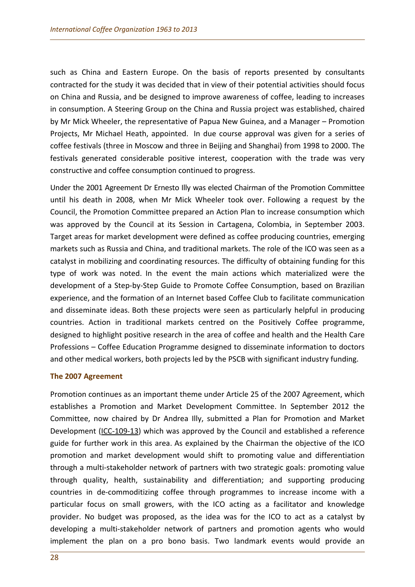such as China and Eastern Europe. On the basis of reports presented by consultants contracted for the study it was decided that in view of their potential activities should focus on China and Russia, and be designed to improve awareness of coffee, leading to increases in consumption. A Steering Group on the China and Russia project was established, chaired by Mr Mick Wheeler, the representative of Papua New Guinea, and a Manager – Promotion Projects, Mr Michael Heath, appointed. In due course approval was given for a series of coffee festivals (three in Moscow and three in Beijing and Shanghai) from 1998 to 2000. The festivals generated considerable positive interest, cooperation with the trade was very constructive and coffee consumption continued to progress.

Under the 2001 Agreement Dr Ernesto Illy was elected Chairman of the Promotion Committee until his death in 2008, when Mr Mick Wheeler took over. Following a request by the Council, the Promotion Committee prepared an Action Plan to increase consumption which was approved by the Council at its Session in Cartagena, Colombia, in September 2003. Target areas for market development were defined as coffee producing countries, emerging markets such as Russia and China, and traditional markets. The role of the ICO was seen as a catalyst in mobilizing and coordinating resources. The difficulty of obtaining funding for this type of work was noted. In the event the main actions which materialized were the development of a Step-by-Step Guide to Promote Coffee Consumption, based on Brazilian experience, and the formation of an Internet based Coffee Club to facilitate communication and disseminate ideas. Both these projects were seen as particularly helpful in producing countries. Action in traditional markets centred on the Positively Coffee programme, designed to highlight positive research in the area of coffee and health and the Health Care Professions – Coffee Education Programme designed to disseminate information to doctors and other medical workers, both projects led by the PSCB with significant industry funding.

## **The 2007 Agreement**

Promotion continues as an important theme under Article 25 of the 2007 Agreement, which establishes a Promotion and Market Development Committee. In September 2012 the Committee, now chaired by Dr Andrea Illy, submitted a Plan for Promotion and Market Development [\(ICC-109-13\)](http://dev.ico.org/documents/icc-109-13e-plan-promotion.pdf) which was approved by the Council and established a reference guide for further work in this area. As explained by the Chairman the objective of the ICO promotion and market development would shift to promoting value and differentiation through a multi-stakeholder network of partners with two strategic goals: promoting value through quality, health, sustainability and differentiation; and supporting producing countries in de-commoditizing coffee through programmes to increase income with a particular focus on small growers, with the ICO acting as a facilitator and knowledge provider. No budget was proposed, as the idea was for the ICO to act as a catalyst by developing a multi-stakeholder network of partners and promotion agents who would implement the plan on a pro bono basis. Two landmark events would provide an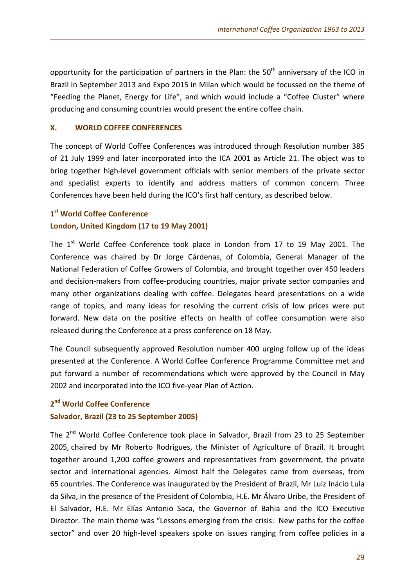opportunity for the participation of partners in the Plan: the  $50<sup>th</sup>$  anniversary of the ICO in Brazil in September 2013 and Expo 2015 in Milan which would be focussed on the theme of "Feeding the Planet, Energy for Life", and which would include a "Coffee Cluster" where producing and consuming countries would present the entire coffee chain.

## **X. WORLD COFFEE CONFERENCES**

The concept of World Coffee Conferences was introduced through Resolution number 385 of 21 July 1999 and later incorporated into the ICA 2001 as Article 21. The object was to bring together high-level government officials with senior members of the private sector and specialist experts to identify and address matters of common concern. Three Conferences have been held during the ICO's first half century, as described below.

## **1st World Coffee Conference**

## **London, United Kingdom (17 to 19 May 2001)**

The  $1<sup>st</sup>$  World Coffee Conference took place in London from 17 to 19 May 2001. The Conference was chaired by Dr Jorge Cárdenas, of Colombia, General Manager of the National Federation of Coffee Growers of Colombia, and brought together over 450 leaders and decision-makers from coffee-producing countries, major private sector companies and many other organizations dealing with coffee. Delegates heard presentations on a wide range of topics, and many ideas for resolving the current crisis of low prices were put forward. New data on the positive effects on health of coffee consumption were also released during the Conference at a press conference on 18 May.

The Council subsequently approved Resolution number 400 urging follow up of the ideas presented at the Conference. A World Coffee Conference Programme Committee met and put forward a number of recommendations which were approved by the Council in May 2002 and incorporated into the ICO five-year Plan of Action.

## **2nd World Coffee Conference**

## **Salvador, Brazil (23 to 25 September 2005)**

The 2<sup>nd</sup> World Coffee Conference took place in Salvador, Brazil from 23 to 25 September 2005, chaired by Mr Roberto Rodrigues, the Minister of Agriculture of Brazil. It brought together around 1,200 coffee growers and representatives from government, the private sector and international agencies. Almost half the Delegates came from overseas, from 65 countries. The Conference was inaugurated by the President of Brazil, Mr Luiz Inácio Lula da Silva, in the presence of the President of Colombia, H.E. Mr Álvaro Uribe, the President of El Salvador, H.E. Mr Elías Antonio Saca, the Governor of Bahia and the ICO Executive Director. The main theme was "Lessons emerging from the crisis: New paths for the coffee sector" and over 20 high-level speakers spoke on issues ranging from coffee policies in a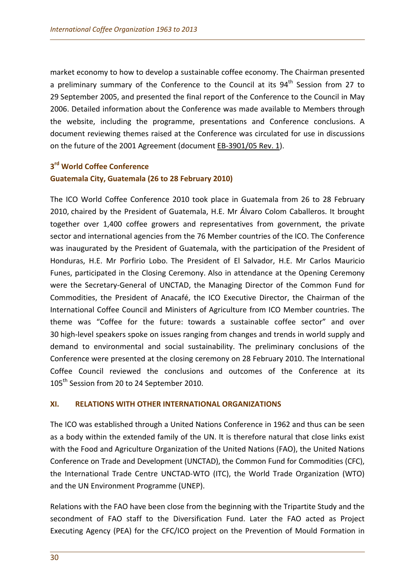market economy to how to develop a sustainable coffee economy. The Chairman presented a preliminary summary of the Conference to the Council at its  $94<sup>th</sup>$  Session from 27 to 29 September 2005, and presented the final report of the Conference to the Council in May 2006. Detailed information about the Conference was made available to Members through the website, including the programme, presentations and Conference conclusions. A document reviewing themes raised at the Conference was circulated for use in discussions on the future of the 2001 Agreement (document [EB-3901/05 Rev. 1\)](http://dev.ico.org/documents/eb3901r1e.pdf).

## **3rd World Coffee Conference Guatemala City, Guatemala (26 to 28 February 2010)**

The ICO World Coffee Conference 2010 took place in Guatemala from 26 to 28 February 2010, chaired by the President of Guatemala, H.E. Mr Álvaro Colom Caballeros. It brought together over 1,400 coffee growers and representatives from government, the private sector and international agencies from the 76 Member countries of the ICO. The Conference was inaugurated by the President of Guatemala, with the participation of the President of Honduras, H.E. Mr Porfirio Lobo. The President of El Salvador, H.E. Mr Carlos Mauricio Funes, participated in the Closing Ceremony. Also in attendance at the Opening Ceremony were the Secretary-General of UNCTAD, the Managing Director of the Common Fund for Commodities, the President of Anacafé, the ICO Executive Director, the Chairman of the International Coffee Council and Ministers of Agriculture from ICO Member countries. The theme was "Coffee for the future: towards a sustainable coffee sector" and over 30 high-level speakers spoke on issues ranging from changes and trends in world supply and demand to environmental and social sustainability. The preliminary conclusions of the Conference were presented at the closing ceremony on 28 February 2010. The International Coffee Council reviewed the conclusions and outcomes of the Conference at its 105<sup>th</sup> Session from 20 to 24 September 2010.

## **XI. RELATIONS WITH OTHER INTERNATIONAL ORGANIZATIONS**

The ICO was established through a United Nations Conference in 1962 and thus can be seen as a body within the extended family of the UN. It is therefore natural that close links exist with the Food and Agriculture Organization of the United Nations (FAO), the United Nations Conference on Trade and Development (UNCTAD), the Common Fund for Commodities (CFC), the International Trade Centre UNCTAD-WTO (ITC), the World Trade Organization (WTO) and the UN Environment Programme (UNEP).

Relations with the FAO have been close from the beginning with the Tripartite Study and the secondment of FAO staff to the Diversification Fund. Later the FAO acted as Project Executing Agency (PEA) for the CFC/ICO project on the Prevention of Mould Formation in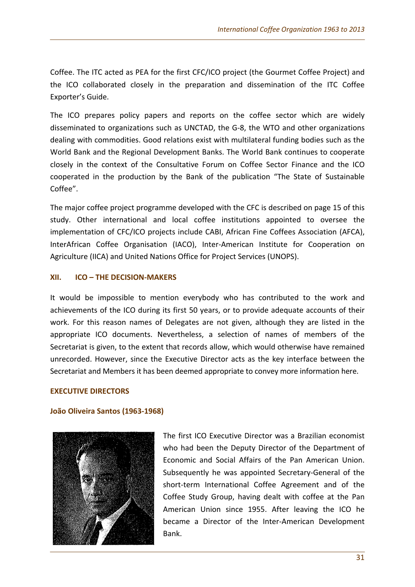Coffee. The ITC acted as PEA for the first CFC/ICO project (the Gourmet Coffee Project) and the ICO collaborated closely in the preparation and dissemination of the ITC Coffee Exporter's Guide.

The ICO prepares policy papers and reports on the coffee sector which are widely disseminated to organizations such as UNCTAD, the G-8, the WTO and other organizations dealing with commodities. Good relations exist with multilateral funding bodies such as the World Bank and the Regional Development Banks. The World Bank continues to cooperate closely in the context of the Consultative Forum on Coffee Sector Finance and the ICO cooperated in the production by the Bank of the publication "The State of Sustainable Coffee".

The major coffee project programme developed with the CFC is described on page 15 of this study. Other international and local coffee institutions appointed to oversee the implementation of CFC/ICO projects include CABI, African Fine Coffees Association (AFCA), InterAfrican Coffee Organisation (IACO), Inter-American Institute for Cooperation on Agriculture (IICA) and United Nations Office for Project Services (UNOPS).

## **XII. ICO – THE DECISION-MAKERS**

It would be impossible to mention everybody who has contributed to the work and achievements of the ICO during its first 50 years, or to provide adequate accounts of their work. For this reason names of Delegates are not given, although they are listed in the appropriate ICO documents. Nevertheless, a selection of names of members of the Secretariat is given, to the extent that records allow, which would otherwise have remained unrecorded. However, since the Executive Director acts as the key interface between the Secretariat and Members it has been deemed appropriate to convey more information here.

## **EXECUTIVE DIRECTORS**

## **João Oliveira Santos (1963-1968)**



The first ICO Executive Director was a Brazilian economist who had been the Deputy Director of the Department of Economic and Social Affairs of the Pan American Union. Subsequently he was appointed Secretary-General of the short-term International Coffee Agreement and of the Coffee Study Group, having dealt with coffee at the Pan American Union since 1955. After leaving the ICO he became a Director of the Inter-American Development Bank.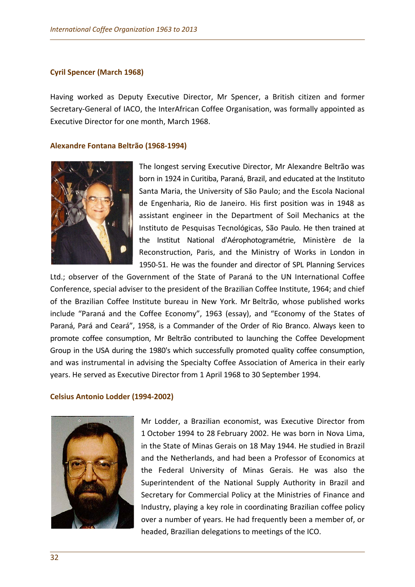#### **Cyril Spencer (March 1968)**

Having worked as Deputy Executive Director, Mr Spencer, a British citizen and former Secretary-General of IACO, the InterAfrican Coffee Organisation, was formally appointed as Executive Director for one month, March 1968.

#### **Alexandre Fontana Beltrão (1968-1994)**



The longest serving Executive Director, Mr Alexandre Beltrão was born in 1924 in Curitiba, Paraná, Brazil, and educated at the Instituto Santa Maria, the University of São Paulo; and the Escola Nacional de Engenharia, Rio de Janeiro. His first position was in 1948 as assistant engineer in the Department of Soil Mechanics at the Instituto de Pesquisas Tecnológicas, São Paulo. He then trained at the Institut National d'Aérophotogramétrie, Ministère de la Reconstruction, Paris, and the Ministry of Works in London in 1950-51. He was the founder and director of SPL Planning Services

Ltd.; observer of the Government of the State of Paraná to the UN International Coffee Conference, special adviser to the president of the Brazilian Coffee Institute, 1964; and chief of the Brazilian Coffee Institute bureau in New York. Mr Beltrão, whose published works include "Paraná and the Coffee Economy", 1963 (essay), and "Economy of the States of Paraná, Pará and Ceará", 1958, is a Commander of the Order of Rio Branco. Always keen to promote coffee consumption, Mr Beltrão contributed to launching the Coffee Development Group in the USA during the 1980's which successfully promoted quality coffee consumption, and was instrumental in advising the Specialty Coffee Association of America in their early years. He served as Executive Director from 1 April 1968 to 30 September 1994.

#### **Celsius Antonio Lodder (1994-2002)**



Mr Lodder, a Brazilian economist, was Executive Director from 1 October 1994 to 28 February 2002. He was born in Nova Lima, in the State of Minas Gerais on 18 May 1944. He studied in Brazil and the Netherlands, and had been a Professor of Economics at the Federal University of Minas Gerais. He was also the Superintendent of the National Supply Authority in Brazil and Secretary for Commercial Policy at the Ministries of Finance and Industry, playing a key role in coordinating Brazilian coffee policy over a number of years. He had frequently been a member of, or headed, Brazilian delegations to meetings of the ICO.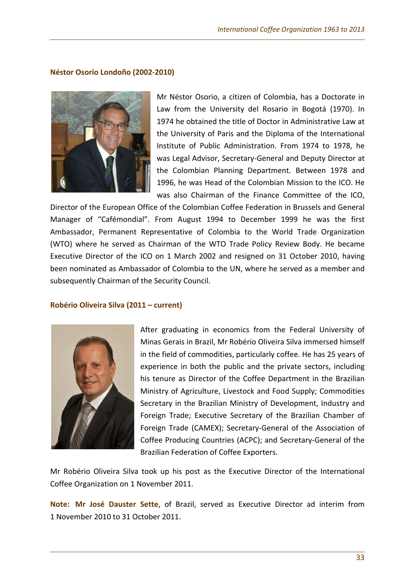## **Néstor Osorio Londoño (2002-2010)**



Mr Néstor Osorio, a citizen of Colombia, has a Doctorate in Law from the University del Rosario in Bogotá (1970). In 1974 he obtained the title of Doctor in Administrative Law at the University of Paris and the Diploma of the International Institute of Public Administration. From 1974 to 1978, he was Legal Advisor, Secretary-General and Deputy Director at the Colombian Planning Department. Between 1978 and 1996, he was Head of the Colombian Mission to the ICO. He was also Chairman of the Finance Committee of the ICO,

Director of the European Office of the Colombian Coffee Federation in Brussels and General Manager of "Cafémondial". From August 1994 to December 1999 he was the first Ambassador, Permanent Representative of Colombia to the World Trade Organization (WTO) where he served as Chairman of the WTO Trade Policy Review Body. He became Executive Director of the ICO on 1 March 2002 and resigned on 31 October 2010, having been nominated as Ambassador of Colombia to the UN, where he served as a member and subsequently Chairman of the Security Council.

## **Robério Oliveira Silva (2011 – current)**



After graduating in economics from the Federal University of Minas Gerais in Brazil, Mr Robério Oliveira Silva immersed himself in the field of commodities, particularly coffee. He has 25 years of experience in both the public and the private sectors, including his tenure as Director of the Coffee Department in the Brazilian Ministry of Agriculture, Livestock and Food Supply; Commodities Secretary in the Brazilian Ministry of Development, Industry and Foreign Trade; Executive Secretary of the Brazilian Chamber of Foreign Trade (CAMEX); Secretary-General of the Association of Coffee Producing Countries (ACPC); and Secretary-General of the Brazilian Federation of Coffee Exporters.

Mr Robério Oliveira Silva took up his post as the Executive Director of the International Coffee Organization on 1 November 2011.

**Note: Mr José Dauster Sette**, of Brazil, served as Executive Director ad interim from 1 November 2010 to 31 October 2011.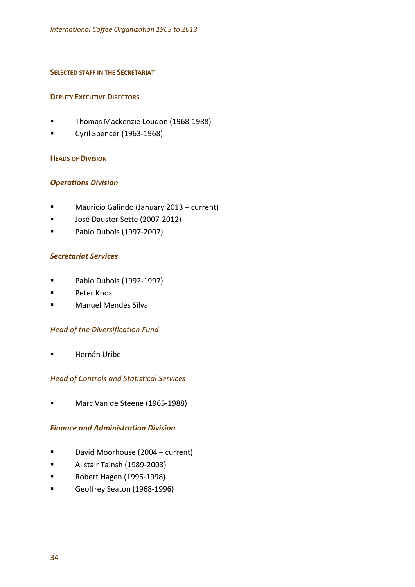## **SELECTED STAFF IN THE SECRETARIAT**

## **DEPUTY EXECUTIVE DIRECTORS**

- Thomas Mackenzie Loudon (1968-1988)
- Cyril Spencer (1963-1968)

## **HEADS OF DIVISION**

## *Operations Division*

- Mauricio Galindo (January 2013 current)
- José Dauster Sette (2007-2012)
- Pablo Dubois (1997-2007)

## *Secretariat Services*

- **Pablo Dubois (1992-1997)**
- **Peter Knox**
- **E** Manuel Mendes Silva

## *Head of the Diversification Fund*

Hernán Uribe

## *Head of Controls and Statistical Services*

Marc Van de Steene (1965-1988)

## *Finance and Administration Division*

- David Moorhouse (2004 current)
- Alistair Tainsh (1989-2003)
- **Robert Hagen (1996-1998)**
- Geoffrey Seaton (1968-1996)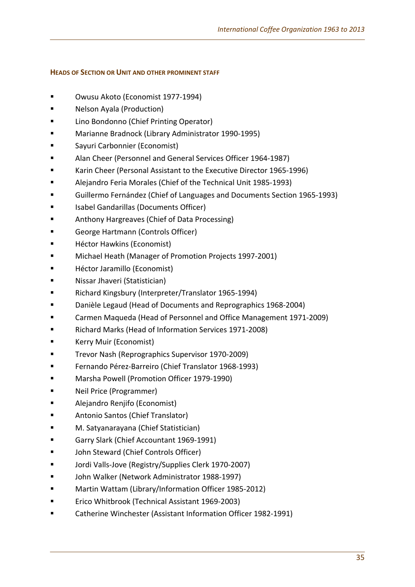## **HEADS OF SECTION OR UNIT AND OTHER PROMINENT STAFF**

- Owusu Akoto (Economist 1977-1994)
- Nelson Ayala (Production)
- Lino Bondonno (Chief Printing Operator)
- Marianne Bradnock (Library Administrator 1990-1995)
- Sayuri Carbonnier (Economist)
- Alan Cheer (Personnel and General Services Officer 1964-1987)
- Karin Cheer (Personal Assistant to the Executive Director 1965-1996)
- Alejandro Feria Morales (Chief of the Technical Unit 1985-1993)
- Guillermo Fernández (Chief of Languages and Documents Section 1965-1993)
- Isabel Gandarillas (Documents Officer)
- Anthony Hargreaves (Chief of Data Processing)
- George Hartmann (Controls Officer)
- Héctor Hawkins (Economist)
- **E** Michael Heath (Manager of Promotion Projects 1997-2001)
- Héctor Jaramillo (Economist)
- Nissar Jhaveri (Statistician)
- Richard Kingsbury (Interpreter/Translator 1965-1994)
- Danièle Legaud (Head of Documents and Reprographics 1968-2004)
- Carmen Maqueda (Head of Personnel and Office Management 1971-2009)
- Richard Marks (Head of Information Services 1971-2008)
- Kerry Muir (Economist)
- Trevor Nash (Reprographics Supervisor 1970-2009)
- Fernando Pérez-Barreiro (Chief Translator 1968-1993)
- Marsha Powell (Promotion Officer 1979-1990)
- Neil Price (Programmer)
- Alejandro Renjifo (Economist)
- Antonio Santos (Chief Translator)
- M. Satyanarayana (Chief Statistician)
- Garry Slark (Chief Accountant 1969-1991)
- John Steward (Chief Controls Officer)
- Jordi Valls-Jove (Registry/Supplies Clerk 1970-2007)
- John Walker (Network Administrator 1988-1997)
- Martin Wattam (Library/Information Officer 1985-2012)
- Erico Whitbrook (Technical Assistant 1969-2003)
- Catherine Winchester (Assistant Information Officer 1982-1991)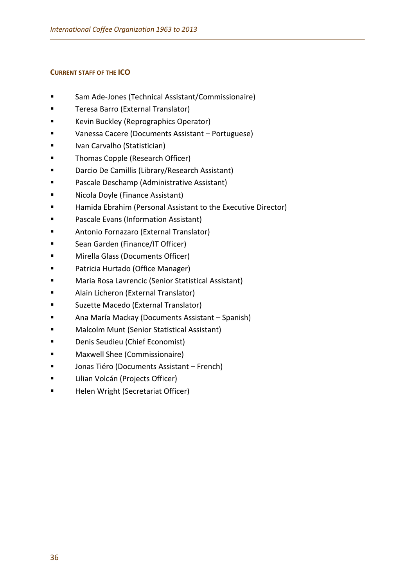## **CURRENT STAFF OF THE ICO**

- Sam Ade-Jones (Technical Assistant/Commissionaire)
- Teresa Barro (External Translator)
- Kevin Buckley (Reprographics Operator)
- Vanessa Cacere (Documents Assistant Portuguese)
- **IVALUARE IVALUARE IN CARTAGE IN EXAMPLE 15**
- Thomas Copple (Research Officer)
- **Example 2** Darcio De Camillis (Library/Research Assistant)
- Pascale Deschamp (Administrative Assistant)
- Nicola Doyle (Finance Assistant)
- Hamida Ebrahim (Personal Assistant to the Executive Director)
- Pascale Evans (Information Assistant)
- Antonio Fornazaro (External Translator)
- Sean Garden (Finance/IT Officer)
- **E** Mirella Glass (Documents Officer)
- Patricia Hurtado (Office Manager)
- Maria Rosa Lavrencic (Senior Statistical Assistant)
- **Alain Licheron (External Translator)**
- Suzette Macedo (External Translator)
- Ana María Mackay (Documents Assistant Spanish)
- Malcolm Munt (Senior Statistical Assistant)
- **Denis Seudieu (Chief Economist)**
- Maxwell Shee (Commissionaire)
- Jonas Tiéro (Documents Assistant French)
- Lilian Volcán (Projects Officer)
- Helen Wright (Secretariat Officer)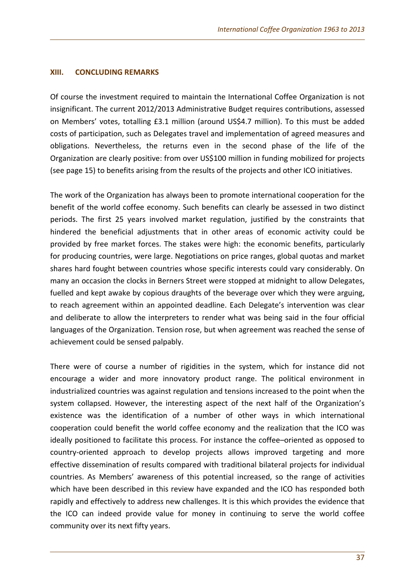#### **XIII. CONCLUDING REMARKS**

Of course the investment required to maintain the International Coffee Organization is not insignificant. The current 2012/2013 Administrative Budget requires contributions, assessed on Members' votes, totalling £3.1 million (around US\$4.7 million). To this must be added costs of participation, such as Delegates travel and implementation of agreed measures and obligations. Nevertheless, the returns even in the second phase of the life of the Organization are clearly positive: from over US\$100 million in funding mobilized for projects (see page 15) to benefits arising from the results of the projects and other ICO initiatives.

The work of the Organization has always been to promote international cooperation for the benefit of the world coffee economy. Such benefits can clearly be assessed in two distinct periods. The first 25 years involved market regulation, justified by the constraints that hindered the beneficial adjustments that in other areas of economic activity could be provided by free market forces. The stakes were high: the economic benefits, particularly for producing countries, were large. Negotiations on price ranges, global quotas and market shares hard fought between countries whose specific interests could vary considerably. On many an occasion the clocks in Berners Street were stopped at midnight to allow Delegates, fuelled and kept awake by copious draughts of the beverage over which they were arguing, to reach agreement within an appointed deadline. Each Delegate's intervention was clear and deliberate to allow the interpreters to render what was being said in the four official languages of the Organization. Tension rose, but when agreement was reached the sense of achievement could be sensed palpably.

There were of course a number of rigidities in the system, which for instance did not encourage a wider and more innovatory product range. The political environment in industrialized countries was against regulation and tensions increased to the point when the system collapsed. However, the interesting aspect of the next half of the Organization's existence was the identification of a number of other ways in which international cooperation could benefit the world coffee economy and the realization that the ICO was ideally positioned to facilitate this process. For instance the coffee–oriented as opposed to country-oriented approach to develop projects allows improved targeting and more effective dissemination of results compared with traditional bilateral projects for individual countries. As Members' awareness of this potential increased, so the range of activities which have been described in this review have expanded and the ICO has responded both rapidly and effectively to address new challenges. It is this which provides the evidence that the ICO can indeed provide value for money in continuing to serve the world coffee community over its next fifty years.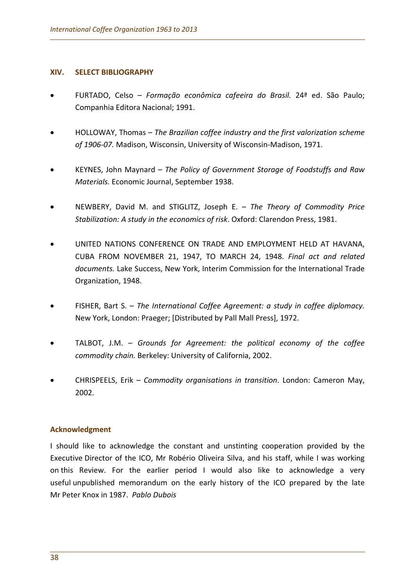#### **XIV. SELECT BIBLIOGRAPHY**

- FURTADO, Celso *Formação econômica cafeeira do Brasil.* 24ª ed. São Paulo; Companhia Editora Nacional; 1991.
- HOLLOWAY, Thomas *The Brazilian coffee industry and the first valorization scheme of 1906-07.* Madison, Wisconsin, University of Wisconsin-Madison, 1971.
- KEYNES, John Maynard *The Policy of Government Storage of Foodstuffs and Raw Materials.* Economic Journal, September 1938.
- NEWBERY, David M. and STIGLITZ, Joseph E. *The Theory of Commodity Price Stabilization: A study in the economics of risk*. Oxford: Clarendon Press, 1981.
- UNITED NATIONS CONFERENCE ON TRADE AND EMPLOYMENT HELD AT HAVANA, CUBA FROM NOVEMBER 21, 1947, TO MARCH 24, 1948. *Final act and related documents.* Lake Success, New York, Interim Commission for the International Trade Organization, 1948.
- FISHER, Bart S. *The International Coffee Agreement: a study in coffee diplomacy.*  New York, London: Praeger; [Distributed by Pall Mall Press], 1972.
- TALBOT, J.M. *Grounds for Agreement: the political economy of the coffee commodity chain.* Berkeley: University of California, 2002.
- CHRISPEELS, Erik *Commodity organisations in transition*. London: Cameron May, 2002.

## **Acknowledgment**

I should like to acknowledge the constant and unstinting cooperation provided by the Executive Director of the ICO, Mr Robério Oliveira Silva, and his staff, while I was working on this Review. For the earlier period I would also like to acknowledge a very useful unpublished memorandum on the early history of the ICO prepared by the late Mr Peter Knox in 1987. *Pablo Dubois*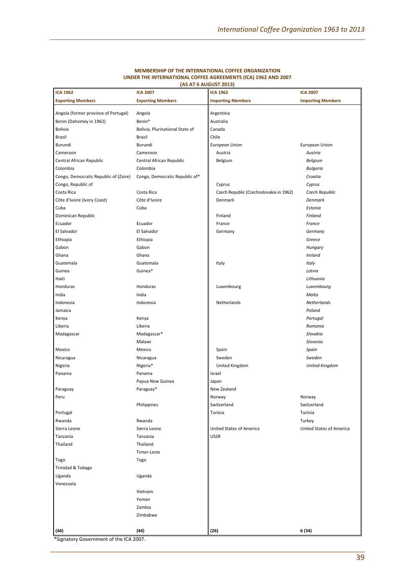| <b>ICA 1962</b>                       | <b>ICA 2007</b>                 | <b>ICA 1962</b>                         | <b>ICA 2007</b>          |
|---------------------------------------|---------------------------------|-----------------------------------------|--------------------------|
| <b>Exporting Members</b>              | <b>Exporting Members</b>        | <b>Importing Members</b>                | <b>Importing Members</b> |
|                                       |                                 |                                         |                          |
| Angola (former province of Portugal)  | Angola                          | Argentina                               |                          |
| Benin (Dahomey in 1962)               | Benin*                          | Australia                               |                          |
| Bolivia                               | Bolivia, Plurinational State of | Canada                                  |                          |
| Brazil                                | <b>Brazil</b>                   | Chile                                   |                          |
| Burundi                               | Burundi                         | <b>European Union</b>                   | <b>European Union</b>    |
| Cameroon                              | Cameroon                        | Austria                                 | Austria                  |
| Central African Republic              | Central African Republic        | Belgium                                 | Belgium                  |
| Colombia                              | Colombia                        |                                         | <b>Bulgaria</b>          |
| Congo, Democratic Republic of (Zaire) | Congo, Democratic Republic of*  |                                         | Croatia                  |
| Congo, Republic of                    |                                 | Cyprus                                  | Cyprus                   |
| Costa Rica                            | Costa Rica                      | Czech Republic (Czechoslovakia in 1962) | Czech Republic           |
| Côte d'Ivoire (Ivory Coast)           | Côte d'Ivoire                   | Denmark                                 | <b>Denmark</b>           |
| Cuba                                  | Cuba                            |                                         | Estonia                  |
| Dominican Republic                    |                                 | Finland                                 | Finland                  |
| Ecuador                               | Ecuador                         | France                                  | France                   |
| El Salvador                           |                                 |                                         |                          |
|                                       | El Salvador                     | Germany                                 | Germany                  |
| Ethiopia                              | Ethiopia                        |                                         | Greece                   |
| Gabon                                 | Gabon                           |                                         | Hungary                  |
| Ghana                                 | Ghana                           |                                         | Ireland                  |
| Guatemala                             | Guatemala                       | Italy                                   | Italy                    |
| Guinea                                | Guinea*                         |                                         | Latvia                   |
| Haiti                                 |                                 |                                         | Lithuania                |
| Honduras                              | Honduras                        | Luxembourg                              | Luxembourg               |
| India                                 | India                           |                                         | Malta                    |
| Indonesia                             | Indonesia                       | Netherlands                             | <b>Netherlands</b>       |
| Jamaica                               |                                 |                                         | Poland                   |
| Kenya                                 | Kenya                           |                                         | Portugal                 |
| Liberia                               | Liberia                         |                                         | Romania                  |
| Madagascar                            | Madagascar*                     |                                         | Slovakia                 |
|                                       | Malawi                          |                                         | Slovenia                 |
| Mexico                                | Mexico                          | Spain                                   | Spain                    |
| Nicaragua                             | Nicaragua                       | Sweden                                  | Sweden                   |
| Nigeria                               | Nigeria*                        | United Kingdom                          | <b>United Kingdom</b>    |
| Panama                                | Panama                          | Israel                                  |                          |
|                                       | Papua New Guinea                | Japan                                   |                          |
| Paraguay                              | Paraguay*                       | New Zealand                             |                          |
| Peru                                  |                                 | Norway                                  | Norway                   |
|                                       | Philippines                     | Switzerland                             | Switzerland              |
|                                       |                                 |                                         |                          |
| Portugal                              |                                 | Tunisia                                 | Tunisia                  |
| Rwanda                                | Rwanda                          |                                         | Turkey                   |
| Sierra Leone                          | Sierra Leone                    | United States of America                | United States of America |
| Tanzania                              | Tanzania                        | <b>USSR</b>                             |                          |
| Thailand                              | Thailand                        |                                         |                          |
|                                       | Timor-Leste                     |                                         |                          |
| Togo                                  | Togo                            |                                         |                          |
| Trinidad & Tobago                     |                                 |                                         |                          |
| Uganda                                | Uganda                          |                                         |                          |
| Venezuela                             |                                 |                                         |                          |
|                                       | Vietnam                         |                                         |                          |
|                                       | Yemen                           |                                         |                          |
|                                       | Zambia                          |                                         |                          |
|                                       | Zimbabwe                        |                                         |                          |
|                                       |                                 |                                         |                          |
| (44)                                  | (44)                            | (26)                                    | 6 (34)                   |

#### **MEMBERSHIP OF THE INTERNATIONAL COFFEE ORGANIZATION UNDER THE INTERNATIONAL COFFEE AGREEMENTS (ICA) 1962 AND 2007 (AS AT 6 AUGUST 2013)**

\*Signatory Government of the ICA 2007.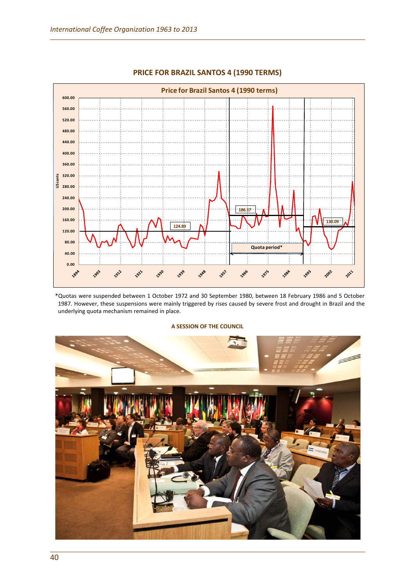

#### **PRICE FOR BRAZIL SANTOS 4 (1990 TERMS)**

\*Quotas were suspended between 1 October 1972 and 30 September 1980, between 18 February 1986 and 5 October 1987. However, these suspensions were mainly triggered by rises caused by severe frost and drought in Brazil and the underlying quota mechanism remained in place.

#### **A SESSION OF THE COUNCIL**